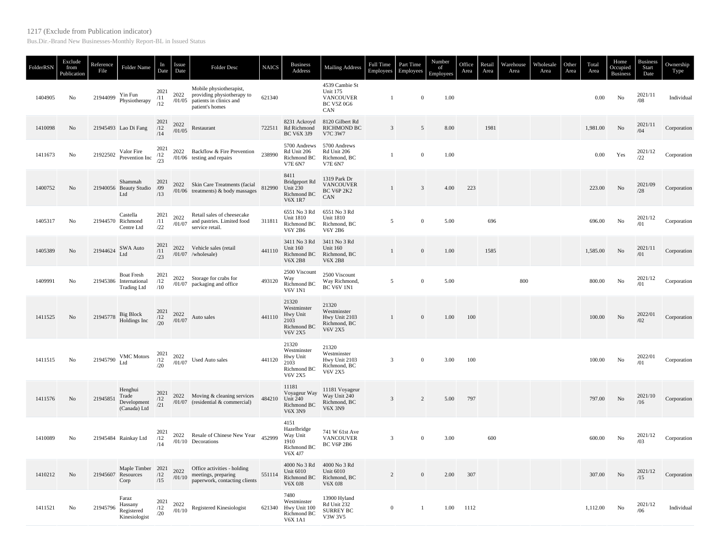## 1217 (Exclude from Publication indicator)

Bus.Dir.-Brand New Businesses-Monthly Report-BL in Issued Status

| FolderRSN | Exclude<br>from<br>Publication | Reference<br>File | Folder Name                                                       | In<br>Date                           | Issue<br>Date  | <b>Folder Desc</b>                                                                                                                                        | <b>NAICS</b> | <b>Business</b><br>Address                                                | <b>Mailing Address</b>                                                            | Full Time<br>Employees | Part Time<br>Employees | Number<br>of<br>Employees | Office<br>Area | Retail<br>Area | Warehouse<br>Area | Wholesale<br>Area | Other<br>Area | Total<br>Area | Home<br>Occupied<br><b>Business</b> | Business<br>Start<br>Date | Ownership<br>Type |
|-----------|--------------------------------|-------------------|-------------------------------------------------------------------|--------------------------------------|----------------|-----------------------------------------------------------------------------------------------------------------------------------------------------------|--------------|---------------------------------------------------------------------------|-----------------------------------------------------------------------------------|------------------------|------------------------|---------------------------|----------------|----------------|-------------------|-------------------|---------------|---------------|-------------------------------------|---------------------------|-------------------|
| 1404905   | No                             | 21944099          | Yin Fun<br>Physiotherapy                                          | 2021<br>/11<br>/12                   |                | Mobile physiotherapist,<br>2022 providing physiotherapy to<br>$/01/05$ patients in clinics and<br>patient's homes                                         | 621340       |                                                                           | 4539 Cambie St<br><b>Unit 175</b><br><b>VANCOUVER</b><br><b>BC V5Z 0G6</b><br>CAN | $\mathbf{1}$           | $\mathbf{0}$           | 1.00                      |                |                |                   |                   |               | 0.00          | No                                  | 2021/11<br>/08            | Individual        |
| 1410098   | No                             |                   | 21945493 Lao Di Fang                                              | 2021<br>/12<br>/14                   | 2022<br>/01/05 | Restaurant                                                                                                                                                |              | 8231 Ackroyd<br>722511 Rd Richmond<br><b>BC V6X 3J9</b>                   | 8120 Gilbert Rd<br><b>RICHMOND BC</b><br>V7C 3W7                                  | $\overline{3}$         | 5                      | 8.00                      |                | 1981           |                   |                   |               | 1.981.00      | No                                  | 2021/11<br>/04            | Corporation       |
| 1411673   | No                             |                   | 21922502 Valor Fire<br>Prevention Inc                             | $\frac{2021}{12}$<br>/23             |                | 2022 Backflow & Fire Prevention<br>$/01/06$ testing and repairs                                                                                           | 238990       | 5700 Andrews<br>Rd Unit 206<br>Richmond BC<br><b>V7E 6N7</b>              | 5700 Andrews<br>Rd Unit 206<br>Richmond, BC<br><b>V7E 6N7</b>                     | $\mathbf{1}$           | $\boldsymbol{0}$       | 1.00                      |                |                |                   |                   |               | 0.00          | Yes                                 | 2021/12<br>/22            | Corporation       |
| 1400752   | No                             |                   | Shammah<br>21940056 Beauty Studio<br>Ltd                          | 2021<br>/09<br>/13                   |                | 2022 Skin Care Treatments (facial<br>/01/06 treatments) & body massages                                                                                   | 812990       | 8411<br>Bridgeport Rd<br>Unit 230<br>Richmond BC<br><b>V6X 1R7</b>        | 1319 Park Dr<br><b>VANCOUVER</b><br>BC V6P 2K2<br>CAN                             | $\mathbf{1}$           | $\overline{3}$         | 4.00                      | 223            |                |                   |                   |               | 223.00        | No                                  | 2021/09<br>/28            | Corporation       |
| 1405317   | No                             |                   | Castella<br>21944570 Richmond<br>Centre Ltd                       | 2021<br>/11<br>/22                   | 2022           | Retail sales of cheesecake<br>$\frac{2022}{101/07}$ and pastries. Limited food<br>service retail.                                                         | 311811       | 6551 No 3 Rd<br><b>Unit 1810</b><br>Richmond BC<br>V6Y 2B6                | 6551 No 3 Rd<br><b>Unit 1810</b><br>Richmond, BC<br>V6Y 2B6                       | 5                      | $\mathbf{0}$           | 5.00                      |                | 696            |                   |                   |               | 696.00        | No                                  | 2021/12<br>/01            | Corporation       |
| 1405389   | No                             | 21944624          | SWA Auto<br>Ltd                                                   | $\frac{2021}{/11}$<br>/23            |                | 2022 Vehicle sales (retail<br>$/01/07$ /wholesale)                                                                                                        | 441110       | 3411 No 3 Rd<br><b>Unit 160</b><br>Richmond BC<br><b>V6X 2B8</b>          | 3411 No 3 Rd<br>Unit 160<br>Richmond, BC<br><b>V6X 2B8</b>                        | $\mathbf{1}$           | $\mathbf{0}$           | 1.00                      |                | 1585           |                   |                   |               | 1,585.00      | No                                  | 2021/11<br>/01            | Corporation       |
| 1409991   | No                             |                   | <b>Boat Fresh</b><br>21945386 International<br><b>Trading Ltd</b> | 2021<br>/12<br>/10                   |                | 2022 Storage for crabs for<br>/01/07 packaging and office                                                                                                 | 493120       | 2500 Viscount<br>Way<br>Richmond BC<br><b>V6V 1N1</b>                     | 2500 Viscount<br>Way Richmond,<br><b>BC V6V 1N1</b>                               | 5                      | $\mathbf{0}$           | 5.00                      |                |                | 800               |                   |               | 800.00        | No                                  | 2021/12<br>/01            | Corporation       |
| 1411525   | No                             | 21945778          | Big Block<br>Holdings Inc                                         | $\frac{2021}{12}$<br>$\frac{12}{20}$ | 2022           | $\frac{2022}{101/07}$ Auto sales                                                                                                                          | 441110       | 21320<br>Westminster<br>Hwy Unit<br>2103<br>Richmond BC<br><b>V6V 2X5</b> | 21320<br>Westminster<br>Hwy Unit 2103<br>Richmond, BC<br><b>V6V 2X5</b>           | $\mathbf{1}$           | $\mathbf{0}$           | 1.00                      | 100            |                |                   |                   |               | 100.00        | No                                  | 2022/01<br>/02            | Corporation       |
| 1411515   | No                             | 21945790          |                                                                   |                                      |                | VMC Motors $\begin{array}{cc} 2021 & 2022 \\ /12 & /01/07 \end{array}$ Used Auto sales<br>Ltd $\begin{array}{cc} 2021 & 2022 \\ /20 & /01/07 \end{array}$ | 441120       | 21320<br>Westminster<br>Hwy Unit<br>2103<br>Richmond BC<br><b>V6V 2X5</b> | 21320<br>Westminster<br>Hwy Unit 2103<br>Richmond, BC<br><b>V6V 2X5</b>           | 3                      | $\mathbf{0}$           | 3.00                      | 100            |                |                   |                   |               | 100.00        | No                                  | 2022/01<br>/01            | Corporation       |
| 1411576   | No                             | 21945851          | Henghui<br>Trade<br>Development<br>(Canada) Ltd                   | 2021<br>/12<br>/21                   |                | 2022 Moving & cleaning services<br>$/01/07$ (residential & commercial)                                                                                    | 484210       | 11181<br>Voyageur Way<br>Unit 240<br>Richmond BC<br><b>V6X 3N9</b>        | 11181 Voyageur<br>Way Unit 240<br>Richmond, BC<br><b>V6X 3N9</b>                  | $\overline{3}$         | 2                      | 5.00                      | 797            |                |                   |                   |               | 797.00        | No                                  | 2021/10<br>/16            | Corporation       |
| 1410089   | No                             |                   | 21945484 Rainkay Ltd                                              | 2021<br>/12<br>/14                   |                | 2022 Resale of Chinese New Year<br>/01/10 Decorations                                                                                                     | 452999       | 4151<br>Hazelbridge<br>Way Unit<br>1910<br>Richmond BC<br>V6X 4J7         | 741 W 61st Ave<br><b>VANCOUVER</b><br>BC V6P 2B6                                  | 3                      | $\mathbf{0}$           | 3.00                      |                | 600            |                   |                   |               | 600.00        | No                                  | 2021/12<br>/03            | Corporation       |
| 1410212   | N <sub>o</sub>                 |                   | Maple Timber 2021<br>21945607 Resources<br>Corp                   | /12<br>/15                           |                | 2022 Office activities - holding<br>$\frac{2022}{101/10}$ meetings, preparing<br>paperwork, contacting clients                                            | 551114       | 4000 No 3 Rd 4000 No 3 Rd<br>Unit 6010<br>Richmond BC<br><b>V6X 0J8</b>   | <b>Unit 6010</b><br>Richmond, BC<br><b>V6X 0J8</b>                                | $\overline{c}$         | $\mathbf{0}$           | 2.00                      | 307            |                |                   |                   |               | 307.00        | No                                  | 2021/12<br>/15            | Corporation       |
| 1411521   | No                             | 21945796          | Faraz<br>Hassany<br>Registered<br>Kinesiologist                   | 2021<br>/12<br>/20                   | 2022<br>/01/10 | Registered Kinesiologist                                                                                                                                  | 621340       | 7480<br>Westminster<br>Hwy Unit 100<br>Richmond BC<br><b>V6X 1A1</b>      | 13900 Hyland<br>Rd Unit 232<br><b>SURREY BC</b><br>V3W 3V5                        | $\mathbf{0}$           | $\overline{1}$         | 1.00                      | 1112           |                |                   |                   |               | 1,112.00      | No                                  | 2021/12<br>/06            | Individual        |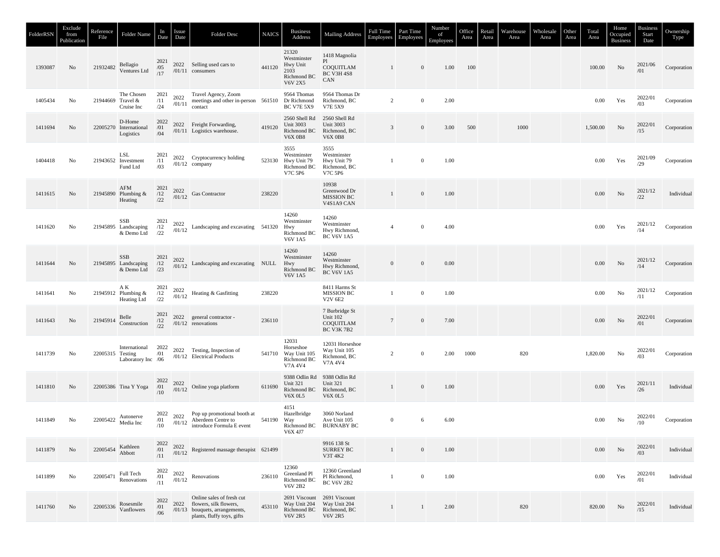| FolderRSN | Exclude<br>from<br>Publication | Reference<br>File | Folder Name                                            | In<br>Date                             | Issue<br>Date  | Folder Desc                                                                                                                                                  | <b>NAICS</b> | <b>Business</b><br>Address                                                   | <b>Mailing Address</b>                                                           | Full Time<br>Employees | Part Time<br>Employees | Number<br>of<br>Employees | Office<br>Area | Retail<br>Area | Warehouse<br>Area | Wholesale<br>Area | Other<br>Area | Total<br>Area | Home<br>Occupied<br><b>Business</b> | <b>Business</b><br>Start<br>Date | Ownership<br>Type |
|-----------|--------------------------------|-------------------|--------------------------------------------------------|----------------------------------------|----------------|--------------------------------------------------------------------------------------------------------------------------------------------------------------|--------------|------------------------------------------------------------------------------|----------------------------------------------------------------------------------|------------------------|------------------------|---------------------------|----------------|----------------|-------------------|-------------------|---------------|---------------|-------------------------------------|----------------------------------|-------------------|
| 1393087   | No                             |                   | 21932482 Bellagio<br>Ventures Ltd                      | 2021<br>$\frac{705}{17}$               |                | 2022 Selling used cars to<br>$/01/11$ consumers                                                                                                              | 441120       | 21320<br>Westminster<br>Hwy Unit<br>2103<br>Richmond BC<br><b>V6V 2X5</b>    | 1418 Magnolia<br>P1<br>COQUITLAM<br>BC V3H 4S8<br>CAN                            | 1                      | $\mathbf{0}$           | 1.00                      | 100            |                |                   |                   |               | 100.00        | No                                  | 2021/06<br>/01                   | Corporation       |
| 1405434   | No                             |                   | The Chosen<br>21944669 Travel &<br>Cruise Inc          | 2021<br>/11<br>/24                     |                | 2022 Travel Agency, Zoom<br>$\frac{2022}{101/11}$ meetings and other in-person 561510 Dr Richmond<br>contact                                                 |              | 9564 Thomas<br><b>BC V7E 5X9</b>                                             | 9564 Thomas Dr<br>Richmond, BC<br>V7E 5X9                                        | 2                      | $\mathbf{0}$           | 2.00                      |                |                |                   |                   |               | 0.00          | Yes                                 | 2022/01<br>/03                   | Corporation       |
| 1411694   | No.                            |                   | D-Home<br>22005270 International<br>Logistics          | 2022<br>/01<br>/04                     |                | 2022 Freight Forwarding,<br>/01/11 Logistics warehouse.                                                                                                      | 419120       | 2560 Shell Rd<br><b>Unit 3003</b><br>Richmond BC<br><b>V6X 0B8</b>           | 2560 Shell Rd<br>Unit 3003<br>Richmond, BC<br><b>V6X 0B8</b>                     | 3                      | $\mathbf{0}$           | 3.00                      | 500            |                | 1000              |                   |               | 1,500.00      | No                                  | $2022/01$<br>$/15$               | Corporation       |
| 1404418   | No                             |                   | LSL<br>21943652 Investment<br>Fund Ltd                 | 2021<br>/11<br>/03                     |                | 2022 Cryptocurrency holding<br>$/01/12$ company                                                                                                              |              | 3555<br>Westminster<br>523130 Hwy Unit 79<br>Richmond BC<br>V7C 5P6          | 3555<br>Westminster<br>Hwy Unit 79<br>Richmond, BC<br>V7C 5P6                    |                        | $\mathbf{0}$           | 1.00                      |                |                |                   |                   |               | 0.00          | Yes                                 | 2021/09<br>/29                   | Corporation       |
| 1411615   | No                             |                   | AFM<br>21945890 Plumbing &<br>Heating                  | $\frac{2021}{12}$<br>/22               |                | $\begin{array}{c} 2022 \\ \text{/}01\text{/}12 \end{array}$ Gas Contractor                                                                                   | 238220       |                                                                              | 10938<br>Greenwood Dr<br><b>MISSION BC</b><br>V4S1A9 CAN                         | $\mathbf{1}$           | $\mathbf{0}$           | 1.00                      |                |                |                   |                   |               | 0.00          | $\rm No$                            | 2021/12<br>/22                   | Individual        |
| 1411620   | No                             |                   | SSB<br>21945895 Landscaping<br>& Demo Ltd              | 2021<br>$\frac{12}{22}$                |                | $^{2022}_{/01/12}$ Landscaping and excavating 541320                                                                                                         |              | 14260<br>Westminster<br>Hwy<br>Richmond BC<br><b>V6V 1A5</b>                 | 14260<br>Westminster<br>Hwy Richmond,<br><b>BC V6V 1A5</b>                       | $\overline{4}$         | $\mathbf{0}$           | 4.00                      |                |                |                   |                   |               | 0.00          | Yes                                 | 2021/12<br>/14                   | Corporation       |
| 1411644   | No                             |                   | 55B 2021<br>21945895 Landscaping /12<br>& Demo Ltd /23 |                                        |                | $\frac{2022}{01/12}$ Landscaping and excavating NULL                                                                                                         |              | 14260<br>Westminster<br>Hwy<br>Richmond BC<br><b>V6V 1A5</b>                 | 14260<br>Westminster<br>Hwy Richmond,<br><b>BC V6V 1A5</b>                       | $\mathbf{0}$           | $\mathbf{0}$           | 0.00                      |                |                |                   |                   |               | 0.00          | No                                  | 2021/12<br>/14                   | Corporation       |
| 1411641   | No                             |                   | ΑK<br>21945912 Plumbing &<br>Heating Ltd               | $\frac{2021}{12}$<br>/22               |                | $\begin{array}{cc} 2022 \\ \rm{\#01/12} \end{array}$ Heating & Gas<br>fitting                                                                                | 238220       |                                                                              | 8411 Harms St<br>MISSION BC<br><b>V2V 6E2</b>                                    | $\mathbf{1}$           | $\boldsymbol{0}$       | 1.00                      |                |                |                   |                   |               | 0.00          | No                                  | 2021/12<br>/11                   | Corporation       |
| 1411643   | No                             |                   | 21945914 Belle<br>Construction                         | $\frac{2021}{/12}$<br>$\frac{12}{/22}$ |                | 2022 general contractor -<br>$/01/12$ renovations                                                                                                            | 236110       |                                                                              | 7 Burbridge St<br>Unit 102<br>COQUITLAM<br><b>BC V3K 7B2</b>                     | $7\phantom{.0}$        | $\mathbf{0}$           | 7.00                      |                |                |                   |                   |               | 0.00          | No                                  | 2022/01<br>/01                   | Corporation       |
| 1411739   | No                             |                   | 22005315 Testing<br>Laboratory Inc /06                 |                                        |                | International 2022 2022 Testing, Inspection of<br>Testing $/01$ $/01/12$ Electrical Products<br>/01/12 Electrical Products                                   |              | 12031<br>Horseshoe<br>541710 Way Unit 105<br>Richmond BC<br>V7A 4V4          | 12031 Horseshoe<br>Way Unit 105<br>Richmond, BC<br>V7A 4V4                       | 2                      | $\mathbf{0}$           | 2.00                      | 1000           |                | 820               |                   |               | 1,820.00      | No                                  | 2022/01<br>/03                   | Corporation       |
| 1411810   | No                             |                   |                                                        |                                        |                | 22005386 Tina Y Yoga $\begin{matrix} 2022 & 2022 \\ /01 & 2022 \end{matrix}$ Online yoga platform                                                            | 611690       | <b>Unit 321</b><br>Richmond BC<br><b>V6X 0L5</b>                             | 9388 Odlin Rd 9388 Odlin Rd<br><b>Unit 321</b><br>Richmond, BC<br><b>V6X 0L5</b> | 1                      | $\mathbf{0}$           | 1.00                      |                |                |                   |                   |               | $0.00\,$      | Yes                                 | 2021/11<br>/26                   | Individual        |
| 1411849   | No                             |                   | 22005422 Autonerve<br>Media Inc                        | /10                                    |                | 2022 2022 Pop up promotional booth at<br>$\frac{701}{10}$ 2022 Aberdeen Centre to<br>$\frac{710}{10}$ introduce Formula E event<br>introduce Formula E event | 541190       | 4151<br>Hazelbridge<br>Way<br>V6X 4J7                                        | 3060 Norland<br>Ave Unit 105<br>Richmond BC BURNABY BC                           | $\mathbf{0}$           | 6                      | 6.00                      |                |                |                   |                   |               | 0.00          | No                                  | 2022/01<br>/10                   | Corporation       |
| 1411879   | No                             | 22005454          | Kathleen<br>Abbott                                     | 2022<br>/01<br>/11                     |                | $\frac{2022}{01/12}$ Registered massage therapist 621499                                                                                                     |              |                                                                              | 9916 138 St<br><b>SURREY BC</b><br>V3T 4K2                                       | $\mathbf{1}$           | $\mathbf{0}$           | 1.00                      |                |                |                   |                   |               | $0.00\,$      | No                                  | 2022/01<br>/03                   | Individual        |
| 1411899   | No                             | 22005471          | Full Tech<br>Renovations                               | 2022<br>/01<br>/11                     | 2022<br>/01/12 | Renovations                                                                                                                                                  | 236110       | 12360<br>Greenland Pl<br>Richmond BC<br><b>V6V 2B2</b>                       | 12360 Greenland<br>Pl Richmond,<br><b>BC V6V 2B2</b>                             | 1                      | $\boldsymbol{0}$       | 1.00                      |                |                |                   |                   |               | $0.00\,$      | Yes                                 | 2022/01<br>/01                   | Individual        |
| 1411760   | No.                            | 22005336          | Rosesmile<br>Vanflowers                                | 2022<br>/01<br>/06                     |                | Online sales of fresh cut<br>2022 flowers, silk flowers,<br>/01/13 bouquets, arrangements,<br>plants, fluffy toys, gifts                                     | 453110       | 2691 Viscount 2691 Viscount<br>Way Unit 204<br>Richmond BC<br><b>V6V 2R5</b> | Way Unit 204<br>Richmond, BC<br><b>V6V 2R5</b>                                   | 1                      | $\mathbf{1}$           | 2.00                      |                |                | 820               |                   |               | 820.00        | No                                  | 2022/01<br>/15                   | Individual        |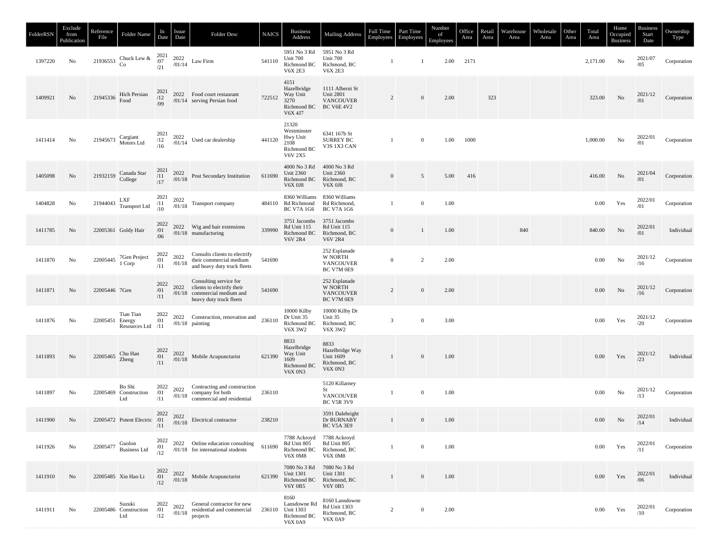| FolderRSN | Exclude<br>from<br>Publication | Reference<br>File | Folder Name                                                                                  | In<br>Date                | <i>Issue</i><br>Date | Folder Desc                                                                                                            | <b>NAICS</b> | <b>Business</b><br>Address                                                | <b>Mailing Address</b>                                                        | <b>Full Time</b><br>Employees | Part Time<br>Employees | Number<br>of<br>Employees | Office<br>Area | Retail<br>Area | Warehouse<br>Area | Wholesale<br>Area | Other<br>Area | Total<br>Area | Home<br>Occupied<br><b>Business</b> | <b>Business</b><br>Start<br>Date | Ownership<br>Type |
|-----------|--------------------------------|-------------------|----------------------------------------------------------------------------------------------|---------------------------|----------------------|------------------------------------------------------------------------------------------------------------------------|--------------|---------------------------------------------------------------------------|-------------------------------------------------------------------------------|-------------------------------|------------------------|---------------------------|----------------|----------------|-------------------|-------------------|---------------|---------------|-------------------------------------|----------------------------------|-------------------|
| 1397220   | No                             | 21936553          | Chuck Lew &<br>Co                                                                            | $\frac{2021}{/07}$        |                      | $^{2022}_{/01/14}$ Law Firm                                                                                            | 541110       | 5951 No 3 Rd<br>Unit 700<br>Richmond BC<br><b>V6X 2E3</b>                 | 5951 No 3 Rd<br>Unit 700<br>Richmond, BC<br><b>V6X 2E3</b>                    | -1                            | -1                     | 2.00                      | 2171           |                |                   |                   |               | 2,171.00      | No                                  | 2021/07<br>/05                   | Corporation       |
| 1409921   | No                             |                   | 21945336 Hich Persian<br>Food                                                                | $\frac{2021}{12}$<br>/09  |                      | 2022 Food court restaurant<br>/01/14 serving Persian food                                                              | 722512       | 4151<br>Hazelbridge<br>Way Unit<br>3270<br>Richmond BC<br>V6X 4J7         | 1111 Alberni St<br><b>Unit 2801</b><br><b>VANCOUVER</b><br><b>BC V6E 4V2</b>  | 2                             | $\mathbf{0}$           | 2.00                      |                | 323            |                   |                   |               | 323.00        | $\rm No$                            | 2021/12<br>/01                   | Corporation       |
| 1411414   | No                             | 21945673          | Cargiant<br>Motors Ltd                                                                       | $\frac{2021}{12}$<br>/16  |                      | $\frac{2022}{/01/14}$ Used car dealership                                                                              | 441120       | 21320<br>Westminster<br>Hwy Unit<br>2108<br>Richmond BC<br><b>V6V 2X5</b> | 6341 167b St<br><b>SURREY BC</b><br>V3S 1X3 CAN                               | -1                            | $\mathbf{0}$           | 1.00                      | 1000           |                |                   |                   |               | 1,000.00      | No                                  | 2022/01<br>/01                   | Corporation       |
| 1405098   | No                             | 21932159          | Canada Star<br>College                                                                       | $\frac{2021}{/11}$<br>/17 |                      | $^{2022}_{01/18}$ Post Secondary Institution                                                                           | 611690       | 4000 No 3 Rd<br><b>Unit 2360</b><br>Richmond BC<br><b>V6X 0J8</b>         | 4000 No 3 Rd<br><b>Unit 2360</b><br>Richmond, BC<br><b>V6X 0J8</b>            | $\mathbf{0}$                  | $\overline{5}$         | 5.00                      | 416            |                |                   |                   |               | 416.00        | No                                  | 2021/04<br>/01                   | Corporation       |
| 1404828   | No                             |                   | 21944043 LXF<br>Transport Ltd                                                                | $\frac{2021}{/11}$<br>/10 |                      | $\begin{array}{cc} 2022 \\ \text{\emph{701/18}} \end{array}$ Transport company                                         |              | 8360 Williams<br>484110 Rd Richmond<br><b>BC V7A 1G6</b>                  | 8360 Williams<br>Rd Richmond,<br><b>BC V7A 1G6</b>                            | 1                             | $\boldsymbol{0}$       | 1.00                      |                |                |                   |                   |               | 0.00          | Yes                                 | 2022/01<br>/01                   | Corporation       |
| 1411785   | No                             |                   | 22005361 Goldy Hair                                                                          | $\frac{2022}{/01}$<br>/06 |                      | 2022 Wig and hair extensions<br>/01/18 manufacturing                                                                   | 339990       | 3751 Jacombs<br>Rd Unit 115<br>Richmond BC<br><b>V6V 2R4</b>              | 3751 Jacombs<br>Rd Unit 115<br>Richmond, BC<br><b>V6V 2R4</b>                 | $\overline{0}$                | $\overline{1}$         | 1.00                      |                |                | 840               |                   |               | 840.00        | No                                  | 2022/01<br>/01                   | Individual        |
| 1411870   | No                             |                   | 22005445 7Gen Project<br>1 Corp                                                              | 2022<br>/01<br>/11        | 2022<br>/01/18       | Consults clients to electrify<br>their commercial medium<br>and heavy duty truck fleets                                | 541690       |                                                                           | 252 Esplanade<br>W NORTH<br><b>VANCOUVER</b><br>BC V7M 0E9                    | $\overline{0}$                | 2                      | 2.00                      |                |                |                   |                   |               | 0.00          | No                                  | 2021/12<br>/16                   | Corporation       |
| 1411871   | No                             | 22005446 7Gen     |                                                                                              | 2022<br>/01<br>/11        |                      | Consulting service for<br>2022 clients to electrify their<br>$/01/18$ commercial medium and<br>heavy duty truck fleets | 541690       |                                                                           | 252 Esplanade<br>W NORTH<br><b>VANCOUVER</b><br>BC V7M 0E9                    | $\overline{c}$                | $\mathbf{0}$           | 2.00                      |                |                |                   |                   |               | 0.00          | No                                  | 2021/12<br>/16                   | Corporation       |
| 1411876   | No                             | 22005451 Energy   | Tian Tian<br>Resources Ltd                                                                   | 2022<br>/01<br>/11        |                      | 2022 Construction, renovation and<br>$/01/18$ painting                                                                 | 236110       | 10000 Kilby<br>Dr Unit 35<br>Richmond BC<br>V6X 3W2                       | 10000 Kilby Dr<br>Unit 35<br>Richmond, BC<br>V6X 3W2                          | $\mathfrak{Z}$                | $\mathbf{0}$           | 3.00                      |                |                |                   |                   |               | 0.00          | Yes                                 | 2021/12<br>/20                   | Corporation       |
| 1411893   | No                             | 22005465          | Chu Han<br>Zheng                                                                             | 2022<br>/01<br>/11        |                      | $^{2022}_{/01/18}$ Mobile Acupuncturist                                                                                | 621390       | 8833<br>Hazelbridge<br>Way Unit<br>1609<br>Richmond BC<br><b>V6X 0N3</b>  | 8833<br>Hazelbridge Way<br><b>Unit 1609</b><br>Richmond, BC<br><b>V6X 0N3</b> | 1                             | $\mathbf{0}$           | 1.00                      |                |                |                   |                   |               | 0.00          | Yes                                 | 2021/12                          | Individual        |
| 1411897   | No                             |                   | Bo Shi<br>22005469 Construction<br>Ltd                                                       | 2022<br>/01<br>/11        | 2022                 | Contracting and construction<br>$\frac{2022}{101/18}$ company for both<br>commercial and residential                   | 236110       |                                                                           | 5120 Killarney<br>St<br><b>VANCOUVER</b><br><b>BC V5R 3V9</b>                 | -1                            | $\mathbf{0}$           | 1.00                      |                |                |                   |                   |               | 0.00          | No                                  | 2021/12<br>/13                   | Corporation       |
| 1411900   | No                             |                   | 2022<br>22005472 Potent Electric $\begin{array}{cc} 2022 & 2022 \\ /01 & /01/18 \end{array}$ | /11                       |                      | Electrical contractor                                                                                                  | 238210       |                                                                           | 3591 Dalebright<br>Dr BURNABY<br><b>BC V5A 3E9</b>                            | $\mathbf{1}$                  | $\overline{0}$         | 1.00                      |                |                |                   |                   |               | 0.00          | No                                  | 2022/01<br>/14                   | Individual        |
| 1411926   | No                             | 22005477          | Guolon<br><b>Business Ltd</b>                                                                | 2022<br>/01<br>/12        |                      | 2022 Online education consulting<br>/01/18 for international students                                                  | 611690       | 7788 Ackroyd 7788 Ackroyd<br>Rd Unit 805<br>Richmond BC<br><b>V6X 0M8</b> | Rd Unit 805<br>Richmond, BC<br><b>V6X 0M8</b>                                 | $\mathbf{1}$                  | $\mathbf{0}$           | 1.00                      |                |                |                   |                   |               | 0.00          | Yes                                 | 2022/01<br>/11                   | Corporation       |
| 1411910   | No                             |                   | 22005485 Xin Hao Li                                                                          | 2022<br>/01<br>/12        | 2022<br>/01/18       | Mobile Acupuncturist                                                                                                   | 621390       | 7080 No 3 Rd<br>Unit 1301<br>Richmond BC<br><b>V6Y 0B5</b>                | 7080 No 3 Rd<br>Unit 1301<br>Richmond, BC<br><b>V6Y 0B5</b>                   | 1                             | $\boldsymbol{0}$       | 1.00                      |                |                |                   |                   |               | 0.00          | Yes                                 | 2022/01<br>/06                   | Individual        |
| 1411911   | No                             |                   | Suzuki<br>22005486 Construction<br>Ltd                                                       | 2022<br>/01<br>/12        |                      | 2022 General contractor for new<br>$\frac{2022}{101/18}$ residential and commercial<br>projects                        |              | 8160<br>Lansdowne Rd<br>236110 Unit 1303<br>Richmond BC<br><b>V6X 0A9</b> | 8160 Lansdowne<br><b>Rd Unit 1303</b><br>Richmond, BC<br><b>V6X 0A9</b>       | $\overline{2}$                | $\boldsymbol{0}$       | 2.00                      |                |                |                   |                   |               | 0.00          | Yes                                 | 2022/01<br>/10                   | Corporation       |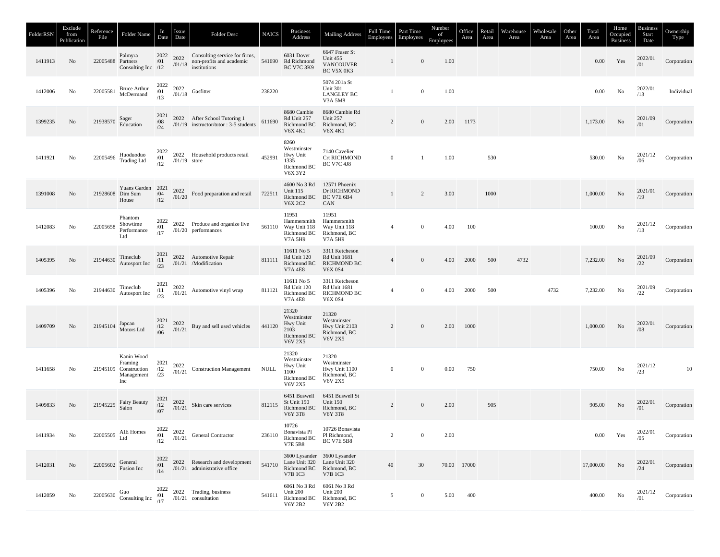| FolderRSN | Exclude<br>from<br>Publication | Reference<br>File | Folder Name                                                         | In<br>Date               | Issue<br>Date                                                  | Folder Desc                                                                                              | <b>NAICS</b> | <b>Business</b><br>Address                                                | <b>Mailing Address</b>                                                        | Full Time<br>Employees | Part Time<br>Employees | Number<br>of<br>Employees | Office<br>Area | Retail<br>Area | Warehouse<br>Area | Wholesale<br>Area | Other<br>Area | Total<br>Area | Home<br>Occupied<br><b>Business</b> | <b>Business</b><br>Start<br>Date | Ownership<br>Type |
|-----------|--------------------------------|-------------------|---------------------------------------------------------------------|--------------------------|----------------------------------------------------------------|----------------------------------------------------------------------------------------------------------|--------------|---------------------------------------------------------------------------|-------------------------------------------------------------------------------|------------------------|------------------------|---------------------------|----------------|----------------|-------------------|-------------------|---------------|---------------|-------------------------------------|----------------------------------|-------------------|
| 1411913   | No                             | 22005488 Partners | Palmyra<br>Consulting Inc /12                                       | 2022<br>/01              |                                                                | 2022 Consulting service for firms,<br>$\frac{2022}{101/18}$ non-profits and academic                     |              | 6031 Dover<br>541690 Rd Richmond<br><b>BC V7C 3K9</b>                     | 6647 Fraser St<br>Unit 455<br><b>VANCOUVER</b><br>BC V5X 0K3                  | $\mathbf{1}$           | $\mathbf{0}$           | 1.00                      |                |                |                   |                   |               | $0.00\,$      | Yes                                 | 2022/01<br>/01                   | Corporation       |
| 1412006   | No                             | 22005581          | Bruce Arthur<br>McDermand                                           |                          | $\begin{array}{cc} 2022 & 2022 \\ /01 & 01/18 \\ \end{array}$  | $\frac{2.022}{101}{18}$ Gasfitter                                                                        | 238220       |                                                                           | 5074 201a St<br><b>Unit 301</b><br><b>LANGLEY BC</b><br>V3A 5M8               | $\mathbf{1}$           | $\mathbf{0}$           | 1.00                      |                |                |                   |                   |               | $0.00\,$      | No                                  | 2022/01<br>/13                   | Individual        |
| 1399235   | No                             | 21938570          | Sager<br>Education                                                  | 2021<br>/08<br>/24       |                                                                | 2022 After School Tutoring 1<br>/01/19 instructor/tutor: 3-5 students                                    | 611690       | 8680 Cambie<br>Rd Unit 257<br>Richmond BC<br><b>V6X 4K1</b>               | 8680 Cambie Rd<br>Unit 257<br>Richmond, BC<br><b>V6X 4K1</b>                  | $\overline{c}$         | $\mathbf{0}$           | 2.00                      | 1173           |                |                   |                   |               | 1,173.00      | No                                  | 2021/09<br>/01                   | Corporation       |
| 1411921   | No                             | 22005496          | Huoduoduo<br><b>Trading Ltd</b>                                     | 2022<br>$\frac{1}{12}$   | $/01/19$ store                                                 | 2022 Household products retail                                                                           | 452991       | 8260<br>Westminster<br>Hwy Unit<br>1335<br>Richmond BC<br>V6X 3Y2         | 7140 Cavelier<br><b>Crt RICHMOND</b><br><b>BC V7C 4J8</b>                     | $\mathbf{0}$           | $\mathbf{1}$           | 1.00                      |                | 530            |                   |                   |               | 530.00        | No                                  | 2021/12<br>/06                   | Corporation       |
| 1391008   | No                             | 21928608 Dim Sum  | Yuans Garden 2021<br>House                                          | $/04$<br>$/12$           |                                                                | $\frac{2022}{1/01/20}$ Food preparation and retail                                                       | 722511       | 4600 No 3 Rd<br><b>Unit 115</b><br>Richmond BC<br><b>V6X 2C2</b>          | 12571 Phoenix<br>Dr RICHMOND<br><b>BC V7E 6B4</b><br>CAN                      | $\mathbf{1}$           | 2                      | 3.00                      |                | 1000           |                   |                   |               | 1,000.00      | $\rm No$                            | 2021/01<br>/19                   | Corporation       |
| 1412083   | No                             | 22005658          | Phantom<br>Showtime<br>Performance<br>Ltd                           | 2022<br>/01<br>/17       |                                                                | 2022 Produce and organize live<br>$/01/20$ performances                                                  | 561110       | 11951<br>Hammersmith<br>Way Unit 118<br>Richmond BC<br>V7A 5H9            | 11951<br>Hammersmith<br>Way Unit 118<br>Richmond, BC<br>V7A 5H9               | $\overline{4}$         | $\mathbf{0}$           | 4.00                      | 100            |                |                   |                   |               | 100.00        | No                                  | 2021/12<br>/13                   | Corporation       |
| 1405395   | No                             | 21944630          | Timeclub<br>Autosport Inc                                           |                          |                                                                | $\begin{array}{cc}\n2021 & 2022 \\ \hline\n/11 & 01/21\n\end{array}$ Automotive Repair                   | 811111       | 11611 No 5<br>Rd Unit 120<br>Richmond BC<br><b>V7A 4E8</b>                | 3311 Ketcheson<br><b>Rd Unit 1681</b><br><b>RICHMOND BC</b><br><b>V6X 0S4</b> | $\overline{4}$         | $\mathbf{0}$           | 4.00                      | 2000           | 500            | 4732              |                   |               | 7,232.00      | No                                  | 2021/09                          | Corporation       |
| 1405396   | No                             | 21944630          | Timeclub<br>Autosport Inc                                           |                          |                                                                | $\frac{2021}{11}$ $\frac{2022}{01/21}$ Automotive vinyl wrap                                             | 811121       | 11611 No 5<br>Rd Unit 120<br>Richmond BC<br><b>V7A 4E8</b>                | 3311 Ketcheson<br>Rd Unit 1681<br><b>RICHMOND BC</b><br><b>V6X 0S4</b>        | $\overline{4}$         | $\bf{0}$               | 4.00                      | 2000           | 500            |                   | 4732              |               | 7,232.00      | No                                  | 2021/09<br>/22                   | Corporation       |
| 1409709   | No                             | 21945104 Japcan   | Motors Ltd                                                          |                          | $\begin{array}{cc} 2021 & 2022 \\ /12 & 701/21 \\ \end{array}$ | Buy and sell used vehicles                                                                               | 441120       | 21320<br>Westminster<br>Hwy Unit<br>2103<br>Richmond BC<br><b>V6V 2X5</b> | 21320<br>Westminster<br>Hwy Unit 2103<br>Richmond, BC<br>V6V 2X5              | $\overline{c}$         | $\boldsymbol{0}$       | 2.00                      | 1000           |                |                   |                   |               | 1,000.00      | No                                  | 2022/01<br>/08                   | Corporation       |
| 1411658   | No                             |                   | Kanin Wood<br>Framing<br>21945109 Construction<br>Management<br>Inc | 2021<br>/12<br>/23       | 2022<br>/01/21                                                 | <b>Construction Management</b>                                                                           | <b>NULL</b>  | 21320<br>Westminster<br>Hwy Unit<br>1100<br>Richmond BC<br><b>V6V 2X5</b> | 21320<br>Westminster<br>Hwy Unit 1100<br>Richmond, BC<br>V6V 2X5              | $\mathbf{0}$           | $\boldsymbol{0}$       | 0.00                      | 750            |                |                   |                   |               | 750.00        | No                                  | 2021/12<br>/23                   | $10\,$            |
| 1409833   | No                             | 21945225          | Fairy Beauty<br>Salon                                               | $\frac{2021}{12}$<br>/07 | $\frac{2022}{/01/21}$                                          | Skin care services                                                                                       | 812115       | 6451 Buswell<br>St Unit 150<br>Richmond BC<br>V6Y 3T8                     | 6451 Buswell St<br>Unit 150<br>Richmond, BC<br>V6Y 3T8                        | $\overline{c}$         | $\boldsymbol{0}$       | 2.00                      |                | 905            |                   |                   |               | 905.00        | No                                  | 2022/01<br>/01                   | Corporation       |
| 1411934   | No                             |                   | $22005505$ ${\rm~AIE~Homes}$ ${\rm~Ltd}$                            | 2022<br>/01<br>/12       | 2022                                                           | $\frac{2022}{101/21}$ General Contractor                                                                 | 236110       | 10726<br>Bonavista Pl<br>Richmond BC<br><b>V7E 5B8</b>                    | 10726 Bonavista<br>Pl Richmond,<br><b>BC V7E 5B8</b>                          | $\overline{c}$         | $\bf{0}$               | 2.00                      |                |                |                   |                   |               | $0.00\,$      | Yes                                 | 2022/01<br>/05                   | Corporation       |
| 1412031   | No                             |                   | 22005602 General<br>Fusion Inc                                      | 2022<br>/01<br>/14       |                                                                | 2022 Research and development<br>/01/21 administrative office                                            | 541710       | Lane Unit 320 Lane Unit 320<br>V7B 1C3                                    | 3600 Lysander 3600 Lysander<br>Richmond BC Richmond, BC<br>V7B 1C3            | 40                     | 30                     |                           | 70.00 17000    |                |                   |                   |               | 17,000.00     | No                                  | 2022/01<br>/24                   | Corporation       |
| 1412059   | No                             |                   |                                                                     |                          |                                                                | 22005630 Guo<br>Consulting Inc $\begin{array}{cc}\n2022 & 2022 \\ /01 & 01/21\n\end{array}$ Consultation | 541611       | 6061 No 3 Rd 6061 No 3 Rd<br>Unit 200<br>Richmond BC<br><b>V6Y 2B2</b>    | Unit 200<br>Richmond, BC<br>V6Y 2B2                                           | 5                      | $\bf{0}$               | 5.00                      | 400            |                |                   |                   |               | 400.00        | No                                  | 2021/12<br>/01                   | Corporation       |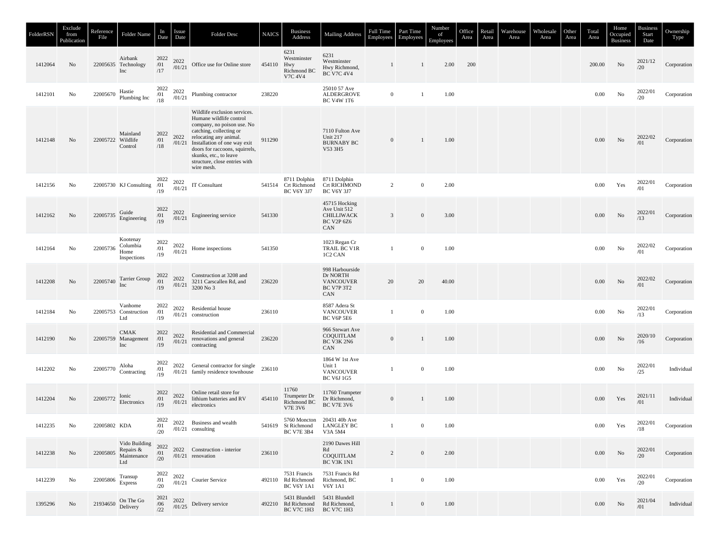| FolderRSN | Exclude<br>from<br>Publication | Reference<br>File | Folder Name                                      | In<br>Date                          | Issue<br>Date  | Folder Desc                                                                                                                                                                                                                                                                                  | <b>NAICS</b> | <b>Business</b><br>Address                                             | <b>Mailing Address</b>                                                      | Full Time<br>Employees | Part Time<br>Employees | Number<br>of<br>Employees | Office<br>Area | Retail<br>Area | Warehouse<br>Area | Wholesale<br>Area | Other<br>Area | Total<br>Area | Home<br>Occupied<br><b>Business</b> | <b>Business</b><br>Start<br>Date | Ownership<br>Type |
|-----------|--------------------------------|-------------------|--------------------------------------------------|-------------------------------------|----------------|----------------------------------------------------------------------------------------------------------------------------------------------------------------------------------------------------------------------------------------------------------------------------------------------|--------------|------------------------------------------------------------------------|-----------------------------------------------------------------------------|------------------------|------------------------|---------------------------|----------------|----------------|-------------------|-------------------|---------------|---------------|-------------------------------------|----------------------------------|-------------------|
| 1412064   | No                             |                   | Airbank<br>22005635 Technology<br>Inc            | 2022<br>/01<br>/17                  | 2022<br>/01/21 | Office use for Online store                                                                                                                                                                                                                                                                  | 454110       | 6231<br>Westminster<br>Hwy<br>Richmond BC<br>V7C 4V4                   | 6231<br>Westminster<br>Hwy Richmond,<br><b>BC V7C 4V4</b>                   | 1                      | $\mathbf{1}$           | 2.00                      | 200            |                |                   |                   |               | 200.00        | No                                  | 2021/12<br>/20                   | Corporation       |
| 1412101   | No                             | 22005670          | Hastie<br>Plumbing Inc                           | 2022<br>$\frac{701}{18}$            | 2022<br>/01/21 | Plumbing contractor                                                                                                                                                                                                                                                                          | 238220       |                                                                        | 25010 57 Ave<br>ALDERGROVE<br><b>BC V4W 1T6</b>                             | $\overline{0}$         | $\mathbf{1}$           | 1.00                      |                |                |                   |                   |               | $0.00\,$      | No                                  | 2022/01<br>/20                   | Corporation       |
| 1412148   | No                             | 22005722 Wildlife | Mainland<br>Control                              | 2022<br>/01<br>/18                  | 2022           | Wildlife exclusion services.<br>Humane wildlife control<br>company, no poison use. No<br>catching, collecting or<br>relocating any animal.<br>/01/21 Installation of one way exit<br>doors for raccoons, squirrels,<br>skunks, etc., to leave<br>structure, close entries with<br>wire mesh. | 911290       |                                                                        | 7110 Fulton Ave<br><b>Unit 217</b><br><b>BURNABY BC</b><br>V53 3H5          | $\mathbf{0}$           | $\mathbf{1}$           | 1.00                      |                |                |                   |                   |               | 0.00          | No                                  | $2022/02$<br>$/01$               | Corporation       |
| 1412156   | No                             |                   | 22005730 KJ Consulting                           | $\frac{2022}{01}$<br>/19            | 2022<br>/01/21 | IT Consultant                                                                                                                                                                                                                                                                                |              | 8711 Dolphin<br>541514 Crt Richmond<br><b>BC V6Y 3J7</b>               | 8711 Dolphin<br><b>Crt RICHMOND</b><br><b>BC V6Y 3J7</b>                    | $\overline{c}$         | $\mathbf{0}$           | 2.00                      |                |                |                   |                   |               | 0.00          | Yes                                 | 2022/01<br>/01                   | Corporation       |
| 1412162   | No                             | 22005735          | Guide<br>Engineering                             | 2022<br>/01<br>/19                  |                | $\frac{2022}{101/21}$ Engineering service                                                                                                                                                                                                                                                    | 541330       |                                                                        | 45715 Hocking<br>Ave Unit 512<br>CHILLIWACK<br><b>BC V2P 6Z6</b><br>CAN     | $\overline{3}$         | $\mathbf{0}$           | 3.00                      |                |                |                   |                   |               | 0.00          | No                                  | 2022/01<br>/13                   | Corporation       |
| 1412164   | No                             | 22005736          | Kootenay<br>Columbia<br>Home<br>Inspections      | 2022<br>/01<br>/19                  | 2022<br>/01/21 | Home inspections                                                                                                                                                                                                                                                                             | 541350       |                                                                        | 1023 Regan Cr<br>TRAIL BC V1R<br>1C2 CAN                                    | 1                      | $\overline{0}$         | 1.00                      |                |                |                   |                   |               | 0.00          | $\rm No$                            | 2022/02<br>/01                   | Corporation       |
| 1412208   | No                             |                   | 22005740 Tarrier Group<br>Inc                    | 2022<br>$\frac{1}{19}$              | 2022           | Construction at 3208 and<br>$\frac{2022}{101}{\times}$ 3211 Carscallen Rd, and<br>3200 No 3                                                                                                                                                                                                  | 236220       |                                                                        | 998 Harbourside<br>Dr NORTH<br><b>VANCOUVER</b><br><b>BC V7P 3T2</b><br>CAN | 20                     | 20                     | 40.00                     |                |                |                   |                   |               | 0.00          | No                                  | 2022/02<br>/01                   | Corporation       |
| 1412184   | No                             |                   | Vanhome<br>22005753 Construction<br>Ltd          | 2022<br>/01<br>/19                  |                | 2022 Residential house<br>$/01/21$ construction                                                                                                                                                                                                                                              | 236110       |                                                                        | 8587 Adera St<br><b>VANCOUVER</b><br>BC V6P 5E6                             | $\mathbf{1}$           | $\overline{0}$         | 1.00                      |                |                |                   |                   |               | 0.00          | No                                  | 2022/01<br>/13                   | Corporation       |
| 1412190   | No                             |                   | <b>CMAK</b><br>22005759 Management<br>Inc        | 2022<br>/01<br>/19                  | 2022<br>/01/21 | Residential and Commercial<br>renovations and general<br>contracting                                                                                                                                                                                                                         | 236220       |                                                                        | 966 Stewart Ave<br>COQUITLAM<br>BC V3K 2N6<br>CAN                           | $\mathbf{0}$           | $\mathbf{1}$           | 1.00                      |                |                |                   |                   |               | 0.00          | No                                  | 2020/10<br>/16                   | Corporation       |
| 1412202   | No                             | 22005770          | Aloha<br>Contracting                             | 2022<br>/01<br>/19                  |                | 2022 General contractor for single 236110<br>/01/21 family residence townhouse                                                                                                                                                                                                               |              |                                                                        | 1864 W 1st Ave<br>Unit 1<br><b>VANCOUVER</b><br>BC V6J 1G5                  | 1                      | $\mathbf{0}$           | 1.00                      |                |                |                   |                   |               | 0.00          | $\rm No$                            | 2022/01<br>/25                   | Individual        |
| 1412204   | No                             |                   | 22005772 Electronics                             | 2022<br>/01<br>/19                  | 2022<br>/01/21 | Online retail store for<br>lithium batteries and RV<br>electronics                                                                                                                                                                                                                           | 454110       | 11760<br>Trumpeter Dr<br>Richmond BC<br><b>V7E 3V6</b>                 | 11760 Trumpeter<br>Dr Richmond,<br><b>BC V7E 3V6</b>                        | $\mathbf{0}$           | $\mathbf{1}$           | 1.00                      |                |                |                   |                   |               | $0.00\,$      | Yes                                 | 2021/11<br>/01                   | Individual        |
| 1412235   | No                             | 22005802 KDA      |                                                  | 2022<br>/01<br>/20                  |                | 2022 Business and wealth<br>$/01/21$ consulting                                                                                                                                                                                                                                              |              | 541619 St Richmond<br>BC V7E 3B4                                       | 5760 Moncton 20431 40b Ave<br><b>LANGLEY BC</b><br>V3A 5M4                  | $\mathbf{1}$           | $\mathbf{0}$           | 1.00                      |                |                |                   |                   |               | 0.00          | Yes                                 | 2022/01                          | Corporation       |
| 1412238   | No                             | 22005805          | Vido Building<br>Repairs &<br>Maintenance<br>Ltd | 2022<br>/01<br>/20                  |                | 2022 Construction - interior<br>$/01/21$ renovation                                                                                                                                                                                                                                          | 236110       |                                                                        | 2190 Dawes Hill<br>Rd<br>COQUITLAM<br><b>BC V3K 1N1</b>                     | $\overline{2}$         | $\boldsymbol{0}$       | 2.00                      |                |                |                   |                   |               | $0.00\,$      | No                                  | 2022/01<br>/20                   | Corporation       |
| 1412239   | No                             | 22005806          | Transup<br>Express                               | $\mathop{2022}\limits_{/01}$<br>/20 |                | $^{2022}_{/01/21}$ Courier Service                                                                                                                                                                                                                                                           |              | 7531 Francis<br>492110 Rd Richmond<br>BC V6Y 1A1                       | 7531 Francis Rd<br>Richmond, BC<br>V6Y 1A1                                  | $\mathbf{1}$           | $\boldsymbol{0}$       | 1.00                      |                |                |                   |                   |               | 0.00          | Yes                                 | 2022/01<br>/20                   | Corporation       |
| 1395296   | No                             | 21934650          | On The Go<br>Delivery                            | 2021<br>/06<br>/22                  |                | $^{2022}_{/01/25}$ Delivery service                                                                                                                                                                                                                                                          |              | 5431 Blundell 5431 Blundell<br>492210 Rd Richmond<br><b>BC V7C 1H3</b> | Rd Richmond,<br><b>BC V7C 1H3</b>                                           | 1                      | $\mathbf{0}$           | 1.00                      |                |                |                   |                   |               | $0.00\,$      | No                                  | 2021/04<br>/01                   | Individual        |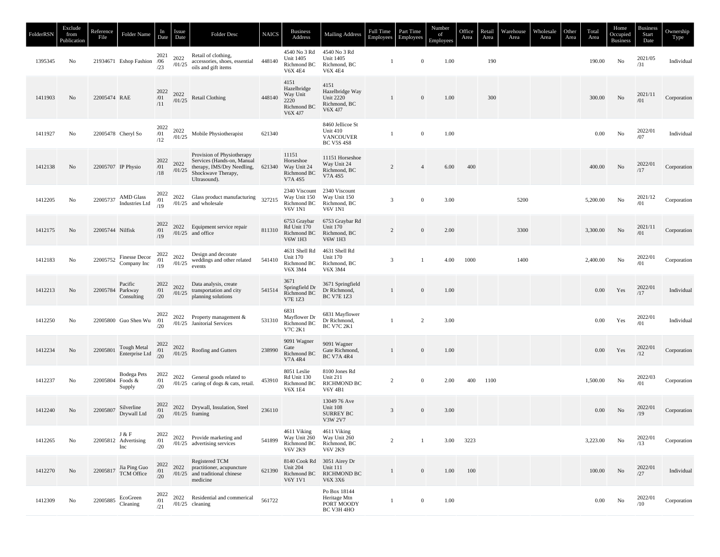| FolderRSN | Exclude<br>from<br>Publication | Reference<br>File                           | Folder Name                                                                 | In<br>Date                | <i>Issue</i><br>Date | <b>Folder Desc</b>                                                                                                                                                                                                                                                                    | <b>NAICS</b> | <b>Business</b><br>Address                                        | <b>Mailing Address</b>                                                                     | <b>Full Time</b><br>Employees | Part Time<br>Employees | Number<br>of<br>Employees | Office<br>Area | Retail<br>Area | Warehouse<br>Area | Wholesale<br>Area | Other<br>Area | Total<br>Area | Home<br>Occupied<br><b>Business</b> | <b>Business</b><br>Start<br>Date | Ownership<br>Type |
|-----------|--------------------------------|---------------------------------------------|-----------------------------------------------------------------------------|---------------------------|----------------------|---------------------------------------------------------------------------------------------------------------------------------------------------------------------------------------------------------------------------------------------------------------------------------------|--------------|-------------------------------------------------------------------|--------------------------------------------------------------------------------------------|-------------------------------|------------------------|---------------------------|----------------|----------------|-------------------|-------------------|---------------|---------------|-------------------------------------|----------------------------------|-------------------|
| 1395345   | No                             |                                             | 21934671 Eshop Fashion /06                                                  | /23                       |                      | 2021 2022 Retail of clothing,<br>$\frac{7022}{125}$ accessories, shoes, essential 448140<br>oils and gift items                                                                                                                                                                       |              | 4540 No 3 Rd<br><b>Unit 1405</b><br>Richmond BC<br><b>V6X 4E4</b> | 4540 No 3 Rd<br>Unit 1405<br>Richmond, BC<br><b>V6X 4E4</b>                                | -1                            | $\mathbf{0}$           | 1.00                      |                | 190            |                   |                   |               | 190.00        | No                                  | 2021/05<br>/31                   | Individual        |
| 1411903   | No                             | 22005474 RAE                                |                                                                             | $\frac{2022}{/01}$<br>/11 | 2022<br>/01/25       | Retail Clothing                                                                                                                                                                                                                                                                       | 448140       | 4151<br>Hazelbridge<br>Way Unit<br>2220<br>Richmond BC<br>V6X 4J7 | 4151<br>Hazelbridge Way<br><b>Unit 2220</b><br>Richmond, BC<br>V6X 4J7                     | 1                             | $\overline{0}$         | 1.00                      |                | 300            |                   |                   |               | 300.00        | No                                  | 2021/11<br>/01                   | Corporation       |
| 1411927   | No                             |                                             | 22005478 Cheryl So                                                          | 2022<br>/01<br>/12        |                      | $\frac{2022}{101/25}$ Mobile Physiotherapist                                                                                                                                                                                                                                          | 621340       |                                                                   | 8460 Jellicoe St<br>Unit 410<br><b>VANCOUVER</b><br><b>BC V5S 4S8</b>                      | -1                            | $\bf{0}$               | 1.00                      |                |                |                   |                   |               | 0.00          | No                                  | 2022/01<br>/07                   | Individual        |
| 1412138   | No                             | 22005707 IP Physio                          |                                                                             |                           |                      | Provision of Physiotherapy<br>$\begin{tabular}{c c c c} \multicolumn{1}{c}{2022} & 2022 & Services (Hands-on, Manual) \\ \multicolumn{1}{c}{701} & 2022 & thebrapy, IMS/Dry Needing, 621340 \\ \multicolumn{1}{c}{718} & 701/25 & Shockwave Theory, \\ \end{tabular}$<br>Ultrasound). |              | 11151<br>Horseshoe<br>Way Unit 24<br>Richmond BC<br>V7A 4S5       | 11151 Horseshoe<br>Way Unit 24<br>Richmond, BC<br>V7A 4S5                                  | 2                             | $\overline{4}$         | 6.00                      | 400            |                |                   |                   |               | 400.00        | No                                  | 2022/01<br>/17                   | Corporation       |
| 1412205   | No                             |                                             | $22005737 \begin{tabular}{ll} AMD Glass \\ Industries Ltd \\ \end{tabular}$ |                           |                      | $^{2022}_{/01}$ 2022 Glass product manufacturing<br>$^{19}_{/19}$ $^{01/25}$ and wholesale                                                                                                                                                                                            | 327215       | Richmond BC<br><b>V6V 1N1</b>                                     | 2340 Viscount 2340 Viscount<br>Way Unit 150 Way Unit 150<br>Richmond, BC<br><b>V6V 1N1</b> | 3                             | $\bf{0}$               | 3.00                      |                |                | 5200              |                   |               | 5,200.00      | No                                  | 2021/12<br>/01                   | Corporation       |
| 1412175   | No                             | 22005744 Nilfisk                            |                                                                             | 2022<br>/01<br>/19        |                      | 2022 Equipment service repair<br>$/01/25$ and office                                                                                                                                                                                                                                  | 811310       | 6753 Graybar<br>Rd Unit 170<br>Richmond BC<br><b>V6W 1H3</b>      | 6753 Graybar Rd<br>Unit 170<br>Richmond, BC<br><b>V6W 1H3</b>                              | 2                             | $\mathbf{0}$           | 2.00                      |                |                | 3300              |                   |               | 3,300.00      | No                                  | 2021/11<br>/01                   | Corporation       |
| 1412183   | No                             |                                             | 22005752 Finesse Decor<br>Company Inc                                       |                           |                      | 2022 2022 Design and decorate<br>$\frac{701}{19}$ $\frac{2022}{01/25}$ weddings and other related                                                                                                                                                                                     | 541410       | 4631 Shell Rd<br><b>Unit 170</b><br>Richmond BC<br>V6X 3M4        | 4631 Shell Rd<br><b>Unit 170</b><br>Richmond, BC<br>V6X 3M4                                | 3                             | $\mathbf{1}$           | 4.00                      | 1000           |                | 1400              |                   |               | 2,400.00      | No                                  | 2022/01<br>/01                   | Corporation       |
| 1412213   | No                             | 22005784 Parkway                            | Pacific<br>Consulting                                                       | 2022<br>/01<br>/20        |                      | 2022 Data analysis, create<br>$\frac{2022}{101/25}$ transportation and city<br>planning solutions                                                                                                                                                                                     | 541514       | 3671<br>Springfield Dr<br>Richmond BC<br><b>V7E 1Z3</b>           | 3671 Springfield<br>Dr Richmond,<br><b>BC V7E 1Z3</b>                                      | $\mathbf{1}$                  | $\mathbf{0}$           | 1.00                      |                |                |                   |                   |               | $0.00\,$      | Yes                                 | $2022/01$<br>$/17$               | Individual        |
| 1412250   | No                             |                                             | 22005800 Guo Shen Wu                                                        | 2022<br>/01<br>/20        |                      | 2022 Property management &<br>/01/25 Janitorial Services                                                                                                                                                                                                                              | 531310       | 6831<br>Mayflower Dr<br>Richmond BC<br>V7C 2K1                    | 6831 Mayflower<br>Dr Richmond,<br><b>BC V7C 2K1</b>                                        | $\mathbf{1}$                  | 2                      | 3.00                      |                |                |                   |                   |               | 0.00          | Yes                                 | 2022/01<br>/01                   | Individual        |
| 1412234   | No                             | 22005801                                    | Tough Metal $\begin{array}{cc} 2022 \\ /01 \\ /20 \end{array}$              |                           |                      | $\frac{2022}{/01/25}$ Roofing and Gutters                                                                                                                                                                                                                                             | 238990       | 9091 Wagner<br>Gate<br>Richmond BC<br>V7A 4R4                     | 9091 Wagner<br>Gate Richmond,<br><b>BC V7A 4R4</b>                                         | 1                             | $\mathbf{0}$           | 1.00                      |                |                |                   |                   |               | $0.00\,$      | Yes                                 | 2022/01<br>/12                   | Corporation       |
| 1412237   | No                             | 22005804 Foods &                            | Bodega Pets<br>Supply                                                       | 2022<br>/01<br>/20        |                      | 2022 General goods related to<br>/01/25 caring of dogs & cats, retail.                                                                                                                                                                                                                | 453910       | 8051 Leslie<br>Rd Unit 130<br>Richmond BC<br><b>V6X 1E4</b>       | 8100 Jones Rd<br><b>Unit 211</b><br><b>RICHMOND BC</b><br>V6Y 4B1                          | 2                             | $\bf{0}$               | 2.00                      | 400            | 1100           |                   |                   |               | 1,500.00      | No                                  | 2022/03<br>/01                   | Corporation       |
| 1412240   | No                             | 22005807 Silverline                         | Drywall Ltd                                                                 | 2022<br>/01<br>/20        |                      | 2022 Drywall, Insulation, Steel<br>$/01/25$ framing                                                                                                                                                                                                                                   | 236110       |                                                                   | 13049 76 Ave<br>Unit 108<br><b>SURREY BC</b><br>V3W 2V7                                    | $\overline{3}$                | $\mathbf{0}$           | 3.00                      |                |                |                   |                   |               | $0.00\,$      | No                                  | 2022/01                          | Corporation       |
| 1412265   | No                             |                                             | J & F<br>22005812 Advertising<br>Inc                                        | 2022<br>/01<br>/20        |                      | 2022 Provide marketing and<br>$/01/25$ advertising services                                                                                                                                                                                                                           | 541899       | 4611 Viking<br>Richmond BC<br>V6V 2K9                             | 4611 Viking<br>Way Unit 260 Way Unit 260<br>Richmond, BC<br>V6V 2K9                        | 2                             | -1                     | 3.00                      | 3223           |                |                   |                   |               | 3,223.00      | No                                  | 2022/01<br>/13                   | Corporation       |
| 1412270   | No                             |                                             | 22005817 Jia Ping Guo<br>TCM Office                                         | 2022<br>/01<br>/20        | 2022                 | Registered TCM<br>practitioner, acupuncture<br>$/01/25$ and traditional chinese<br>medicine                                                                                                                                                                                           | 621390       | Unit 204<br>Richmond BC<br><b>V6Y 1V1</b>                         | 8140 Cook Rd 3051 Airey Dr<br><b>Unit 111</b><br><b>RICHMOND BC</b><br>V6X 3X6             | $\mathbf{1}$                  | $\overline{0}$         | 1.00                      | 100            |                |                   |                   |               | 100.00        | No                                  | 2022/01<br>/27                   | Individual        |
| 1412309   | No                             | 22005885 $\frac{\text{EcoGreen}}{\text{C}}$ | Cleaning                                                                    | 2022<br>/01<br>/21        |                      | 2022 Residential and commerical<br>$/01/25$ cleaning                                                                                                                                                                                                                                  | 561722       |                                                                   | Po Box 18144<br>Heritage Mtn<br>PORT MOODY<br>BC V3H 4HO                                   | 1                             | $\mathbf{0}$           | 1.00                      |                |                |                   |                   |               | $0.00\,$      | No                                  | 2022/01<br>/10                   | Corporation       |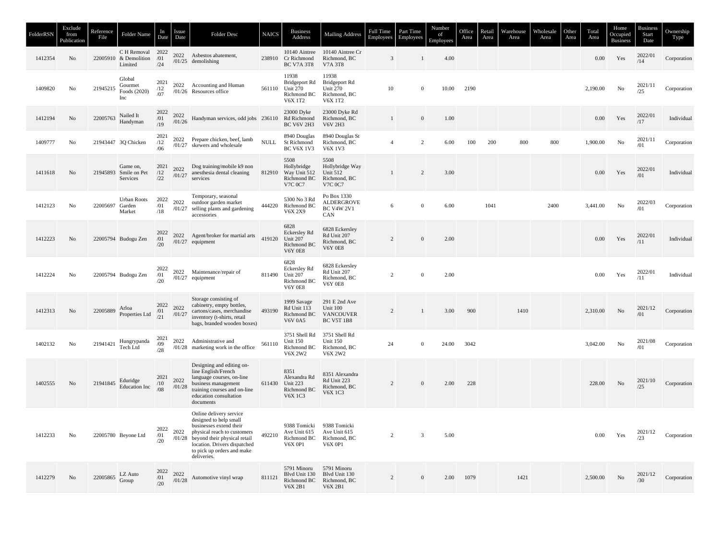| FolderRSN | Exclude<br>from<br>Publication | Reference<br>File | Folder Name                                   | In<br>Date         | Issue<br>Date  | Folder Desc                                                                                                                                                                                                              | <b>NAICS</b> | <b>Business</b><br>Address                                               | <b>Mailing Address</b>                                                       | Full Time<br>Employees | Part Time<br>Employees | Number<br>of<br>Employees | Office<br>Area | Retail<br>Area | Warehouse<br>Area | Wholesale<br>Area | Other<br>Area | Total<br>Area | Home<br>Occupied<br><b>Business</b> | <b>Business</b><br>Start<br>Date | Ownership<br>Type |
|-----------|--------------------------------|-------------------|-----------------------------------------------|--------------------|----------------|--------------------------------------------------------------------------------------------------------------------------------------------------------------------------------------------------------------------------|--------------|--------------------------------------------------------------------------|------------------------------------------------------------------------------|------------------------|------------------------|---------------------------|----------------|----------------|-------------------|-------------------|---------------|---------------|-------------------------------------|----------------------------------|-------------------|
| 1412354   | No                             | 22005910          | C H Removal<br>& Demolition<br>Limited        | 2022<br>/01<br>/24 |                | 2022 Asbestos abatement,<br>$/01/25$ demolishing                                                                                                                                                                         | 238910       | 10140 Aintree<br>Cr Richmond<br><b>BC V7A 3T8</b>                        | 10140 Aintree Cr<br>Richmond, BC<br>V7A 3T8                                  | 3                      | $\mathbf{1}$           | 4.00                      |                |                |                   |                   |               | 0.00          | Yes                                 | 2022/01<br>/14                   | Corporation       |
| 1409820   | No                             | 21945215          | Global<br>Gourmet<br>Foods (2020)<br>Inc      | 2021<br>/12<br>/07 |                | 2022 Accounting and Human<br>/01/26 Resources office                                                                                                                                                                     | 561110       | 11938<br>Bridgeport Rd<br>Unit 270<br>Richmond BC<br>V6X 1T2             | 11938<br>Bridgeport Rd<br><b>Unit 270</b><br>Richmond, BC<br>V6X 1T2         | 10                     | $\mathbf{0}$           | 10.00                     | 2190           |                |                   |                   |               | 2,190.00      | No                                  | 2021/11<br>/25                   | Corporation       |
| 1412194   | No                             | 22005763          | Nailed It<br>Handyman                         | 2022<br>/01<br>/19 | 2022<br>/01/26 | Handyman services, odd jobs 236110                                                                                                                                                                                       |              | 23000 Dyke<br>Rd Richmond<br><b>BC V6V 2H3</b>                           | 23000 Dyke Rd<br>Richmond, BC<br><b>V6V 2H3</b>                              | $\mathbf{1}$           | $\boldsymbol{0}$       | 1.00                      |                |                |                   |                   |               | 0.00          | Yes                                 | 2022/01<br>/17                   | Individual        |
| 1409777   | No                             |                   | 21943447 3Q Chicken                           | 2021<br>/12<br>/06 | 2022           | Prepare chicken, beef, lamb<br>/01/27 skewers and wholesale                                                                                                                                                              | <b>NULL</b>  | 8940 Douglas<br>St Richmond<br><b>BC V6X 1V3</b>                         | 8940 Douglas St<br>Richmond, BC<br>V6X 1V3                                   | $\overline{4}$         | 2                      | 6.00                      | 100            | 200            | 800               | 800               |               | 1,900.00      | No                                  | 2021/11<br>/01                   | Corporation       |
| 1411618   | No                             |                   | Game on,<br>21945893 Smile on Pet<br>Services | 2021<br>/12<br>/22 | 2022<br>/01/27 | Dog training/mobile k9 non<br>anesthesia dental cleaning<br>services                                                                                                                                                     | 812910       | 5508<br>Hollybridge<br>Way Unit 512<br>Richmond BC<br>V7C 0C7            | 5508<br>Hollybridge Way<br><b>Unit 512</b><br>Richmond, BC<br><b>V7C 0C7</b> | $\mathbf{1}$           | $\overline{c}$         | 3.00                      |                |                |                   |                   |               | 0.00          | Yes                                 | 2022/01<br>/01                   | Individual        |
| 1412123   | No                             | 22005697 Garden   | <b>Urban Roots</b><br>Market                  | 2022<br>/01<br>/18 | 2022           | Temporary, seasonal<br>outdoor garden market<br>/01/27 selling plants and gardening<br>accessories                                                                                                                       | 444220       | 5300 No 3 Rd<br>Richmond BC<br><b>V6X 2X9</b>                            | Po Box 1330<br>ALDERGROVE<br><b>BC V4W 2V1</b><br>CAN                        | 6                      | $\mathbf{0}$           | 6.00                      |                | 1041           |                   | 2400              |               | 3,441.00      | No                                  | 2022/03<br>/01                   | Corporation       |
| 1412223   | No                             |                   | 22005794 Budogu Zen                           | 2022<br>/01<br>/20 |                | 2022 Agent/broker for martial arts 419120<br>$/01/27$ equipment                                                                                                                                                          |              | 6828<br>Eckersley Rd<br>Unit 207<br>Richmond BC<br><b>V6Y 0E8</b>        | 6828 Eckersley<br>Rd Unit 207<br>Richmond, BC<br><b>V6Y 0E8</b>              | $\overline{c}$         | $\boldsymbol{0}$       | 2.00                      |                |                |                   |                   |               | 0.00          | Yes                                 | 2022/01<br>/11                   | Individual        |
| 1412224   | No                             |                   | 22005794 Budogu Zen                           | 2022<br>/01<br>/20 |                | 2022 Maintenance/repair of<br>$/01/27$ equipment                                                                                                                                                                         | 811490       | 6828<br><b>Eckersley Rd</b><br>Unit 207<br>Richmond BC<br><b>V6Y 0E8</b> | 6828 Eckersley<br>Rd Unit 207<br>Richmond, BC<br><b>V6Y 0E8</b>              | $\overline{c}$         | $\mathbf{0}$           | 2.00                      |                |                |                   |                   |               | 0.00          | Yes                                 | 2022/01<br>/11                   | Individual        |
| 1412313   | No                             | 22005889          | Arloa<br>Properties Ltd                       | 2022<br>/01<br>/21 | 2022<br>/01/27 | Storage consisting of<br>cabinetry, empty bottles,<br>cartons/cases, merchandise<br>inventory (t-shirts, retail<br>bags, branded wooden boxes)                                                                           | 493190       | 1999 Savage<br>Rd Unit 113<br>Richmond BC<br><b>V6V 0A5</b>              | 291 E 2nd Ave<br>Unit 100<br><b>VANCOUVER</b><br><b>BC V5T 1B8</b>           | 2                      | 1                      | 3.00                      | 900            |                | 1410              |                   |               | 2,310.00      | No                                  | 2021/12<br>/01                   | Corporation       |
| 1402132   | No                             | 21941421          | Hungrypanda<br>Tech Ltd                       | 2021<br>/09<br>/28 | 2022           | Administrative and<br>$/01/28$ marketing work in the office                                                                                                                                                              | 561110       | 3751 Shell Rd<br><b>Unit 150</b><br>Richmond BC<br><b>V6X 2W2</b>        | 3751 Shell Rd<br>Unit 150<br>Richmond, BC<br><b>V6X 2W2</b>                  | 24                     | $\mathbf{0}$           | 24.00                     | 3042           |                |                   |                   |               | 3,042.00      | No                                  | 2021/08<br>/01                   | Corporation       |
| 1402555   | N <sub>0</sub>                 | 21941845          | Eduridge<br><b>Education</b> Inc              | 2021<br>/10<br>/08 | 2022<br>/01/28 | Designing and editing on-<br>line English/French<br>language courses, on-line<br>business management<br>training courses and on-line<br>education consultation<br>documents                                              | 611430       | 8351<br>Alexandra Rd<br>Unit 223<br>Richmond BC<br><b>V6X1C3</b>         | 8351 Alexandra<br>Rd Unit 223<br>Richmond, BC<br><b>V6X 1C3</b>              | 2                      | $\boldsymbol{0}$       | 2.00                      | 228            |                |                   |                   |               | 228.00        | No                                  | 2021/10<br>/25                   | Corporation       |
| 1412233   | No                             |                   | 22005780 Beyone Ltd                           | 2022<br>/01<br>/20 | 2022<br>/01/28 | Online delivery service<br>designed to help small<br>businesses extend their<br>physical reach to customers<br>beyond their physical retail<br>location. Drivers dispatched<br>to pick up orders and make<br>deliveries. | 492210       | 9388 Tomicki<br>Ave Unit 615<br>Richmond BC<br><b>V6X 0P1</b>            | 9388 Tomicki<br>Ave Unit 615<br>Richmond, BC<br><b>V6X 0P1</b>               | 2                      | 3                      | 5.00                      |                |                |                   |                   |               | 0.00          | Yes                                 | 2021/12<br>/23                   | Corporation       |
| 1412279   | N <sub>o</sub>                 | 22005865          | LZ Auto<br>Group                              | 2022<br>/01<br>/20 | 2022<br>/01/28 | Automotive vinyl wrap                                                                                                                                                                                                    | 811121       | 5791 Minoru<br>Blvd Unit 130<br>Richmond BC<br><b>V6X 2B1</b>            | 5791 Minoru<br>Blvd Unit 130<br>Richmond, BC<br><b>V6X 2B1</b>               | 2                      | $\overline{0}$         | 2.00                      | 1079           |                | 1421              |                   |               | 2,500.00      | N <sub>0</sub>                      | 2021/12<br>/30                   | Corporation       |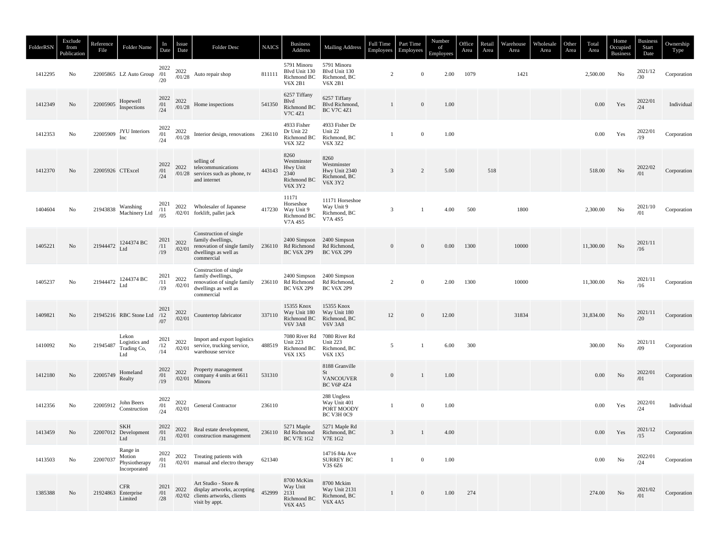| FolderRSN | Exclude<br>from<br>Publication | Reference<br>File               | Folder Name                                         | In<br>Date          | Issue<br>Date    | Folder Desc                                                                                                      | <b>NAICS</b> | <b>Business</b><br>Address                                               | <b>Mailing Address</b>                                             | Full Time<br>Employees | Part Time<br>Employees | Number<br>of<br>Employees | Office<br>Area | Retail<br>Area | Warehouse<br>Area | Wholesale<br>Area | Other<br>Area | Total<br>Area | Home<br>Occupied<br><b>Business</b> | <b>Business</b><br>Start<br>Date | Ownership<br>Type |
|-----------|--------------------------------|---------------------------------|-----------------------------------------------------|---------------------|------------------|------------------------------------------------------------------------------------------------------------------|--------------|--------------------------------------------------------------------------|--------------------------------------------------------------------|------------------------|------------------------|---------------------------|----------------|----------------|-------------------|-------------------|---------------|---------------|-------------------------------------|----------------------------------|-------------------|
| 1412295   | No                             |                                 | 22005865 LZ Auto Group /01                          | 2022<br>/20         | 2022             | $\frac{2022}{101/28}$ Auto repair shop                                                                           | 811111       | 5791 Minoru<br>Blvd Unit 130<br>Richmond BC<br><b>V6X 2B1</b>            | 5791 Minoru<br>Blvd Unit 130<br>Richmond, BC<br><b>V6X 2B1</b>     | $\overline{2}$         | $\Omega$               | 2.00                      | 1079           |                | 1421              |                   |               | 2,500.00      | No                                  | 2021/12<br>/30                   | Corporation       |
| 1412349   | No                             | 22005905 $\frac{H}{r}$ Hopewell | Inspections                                         | 2022<br>/01<br>/24  | 2022<br>/01/28   | Home inspections                                                                                                 | 541350       | 6257 Tiffany<br>Blvd<br>Richmond BC<br>V7C 4Z1                           | 6257 Tiffany<br>Blvd Richmond,<br><b>BC V7C 4Z1</b>                | 1                      | $\mathbf{0}$           | 1.00                      |                |                |                   |                   |               | 0.00          | Yes                                 | 2022/01<br>/24                   | Individual        |
| 1412353   | No                             |                                 | 22005909 JYU Interiors<br>Inc                       | 2022<br>/01<br>/24  | 2022<br>/01/28   | Interior design, renovations 236110                                                                              |              | 4933 Fisher<br>Dr Unit 22<br>Richmond BC<br>V6X 3Z2                      | 4933 Fisher Dr<br>Unit 22<br>Richmond, BC<br>V6X 3Z2               | 1                      | $\bf{0}$               | 1.00                      |                |                |                   |                   |               | 0.00          | Yes                                 | 2022/01<br>/19                   | Corporation       |
| 1412370   | No                             | 22005926 CTExcel                |                                                     | 2022<br>/01<br>/24  | 2022             | selling of<br>telecommunications<br>$/01/28$ services such as phone, tv<br>and internet                          | 443143       | 8260<br>Westminster<br>Hwy Unit<br>2340<br>Richmond BC<br><b>V6X 3Y2</b> | 8260<br>Westminster<br>Hwy Unit 2340<br>Richmond, BC<br>V6X 3Y2    | 3                      | 2                      | 5.00                      |                | 518            |                   |                   |               | 518.00        | No                                  | 2022/02<br>/01                   | Corporation       |
| 1404604   | No                             | 21943838                        | Wanshing<br>Machinery Ltd                           | 2021<br>/11<br>/0.5 |                  | 2022 Wholesaler of Japanese<br>/02/01 forklift, pallet jack                                                      |              | 11171<br>Horseshoe<br>417230 Way Unit 9<br>Richmond BC<br>V7A 4S5        | 11171 Horseshoe<br>Way Unit 9<br>Richmond, BC<br>V7A 4S5           | 3                      | $\mathbf{1}$           | 4.00                      | 500            |                | 1800              |                   |               | 2,300.00      | No                                  | 2021/10<br>/01                   | Corporation       |
| 1405221   | No                             |                                 | 21944472 1244374 BC                                 | 2021<br>/11<br>/19  | 2022<br>/02/01   | Construction of single<br>family dwellings,<br>renovation of single family<br>dwellings as well as<br>commercial |              | 2400 Simpson<br>236110 Rd Richmond<br><b>BC V6X 2P9</b>                  | 2400 Simpson<br>Rd Richmond,<br><b>BC V6X 2P9</b>                  | $\overline{0}$         | $\mathbf{0}$           | 0.00                      | 1300           |                | 10000             |                   |               | 11,300.00     | No                                  | 2021/11<br>/16                   |                   |
| 1405237   | No                             |                                 | 21944472 1244374 BC<br>Ltd                          | 2021<br>/11<br>/19  | 2022<br>/02/01   | Construction of single<br>family dwellings,<br>renovation of single family<br>dwellings as well as<br>commercial |              | 2400 Simpson<br>236110 Rd Richmond<br><b>BC V6X 2P9</b>                  | 2400 Simpson<br>Rd Richmond,<br><b>BC V6X 2P9</b>                  | $\overline{c}$         | $\mathbf{0}$           | 2.00                      | 1300           |                | 10000             |                   |               | 11,300.00     | No                                  | 2021/11<br>/16                   | Corporation       |
| 1409821   | No                             |                                 | 21945216 RBC Stone Ltd /12                          | 2021<br>/07         | 2022<br>/02/01   | Countertop fabricator                                                                                            | 337110       | 15355 Knox<br>Way Unit 180<br>Richmond BC<br><b>V6V 3A8</b>              | 15355 Knox<br>Way Unit 180<br>Richmond, BC<br><b>V6V 3A8</b>       | 12                     | $\mathbf{0}$           | 12.00                     |                |                | 31834             |                   |               | 31,834.00     | $\rm No$                            | 2021/11<br>/20                   | Corporation       |
| 1410092   | No                             | 21945487                        | Lekon<br>Logistics and<br>Trading Co,<br>Ltd        | 2021<br>/12<br>/14  | 2022<br>/02/01   | Import and export logistics<br>service, trucking service,<br>warehouse service                                   | 488519       | Unit 223<br>Richmond BC<br><b>V6X1X5</b>                                 | 7080 River Rd 7080 River Rd<br>Unit 223<br>Richmond, BC<br>V6X 1X5 | 5                      | $\mathbf{1}$           | 6.00                      | 300            |                |                   |                   |               | 300.00        | No                                  | 2021/11<br>/09                   | Corporation       |
| 1412180   | No                             | 22005749                        | Homeland<br>Realty                                  | 2022<br>/01<br>/19  | 2022<br>$/02/01$ | Property management<br>company 4 units at 6611<br>Minoru                                                         | 531310       |                                                                          | 8188 Granville<br>St<br><b>VANCOUVER</b><br><b>BC V6P 4Z4</b>      | $\mathbf{0}$           | -1                     | 1.00                      |                |                |                   |                   |               | 0.00          | No                                  | 2022/01<br>/01                   | Corporation       |
| 1412356   | No                             | 22005912                        | John Beers<br>Construction                          | 2022<br>/01<br>/24  | 2022<br>/02/01   | General Contractor                                                                                               | 236110       |                                                                          | 288 Ungless<br>Way Unit 401<br>PORT MOODY<br>BC V3H 0C9            | 1                      | $\bf{0}$               | 1.00                      |                |                |                   |                   |               | 0.00          | Yes                                 | 2022/01<br>/24                   | Individual        |
| 1413459   | No                             |                                 | SKH<br>22007012 Development<br>Ltd                  | 2022<br>/01<br>/31  |                  | 2022 Real estate development,<br>/02/01 construction management                                                  |              | 5271 Maple<br>236110 Rd Richmond Richmond, BC<br>BC V7E 1G2 V7E 1G2      | 5271 Maple Rd                                                      | $\overline{3}$         | -1                     | 4.00                      |                |                |                   |                   |               | $0.00\,$      | Yes                                 | 2021/12<br>/15                   | Corporation       |
| 1413503   | No                             | 22007037                        | Range in<br>Motion<br>Physiotherapy<br>Incorporated | 2022<br>/01<br>/31  |                  | 2022 Treating patients with<br>/02/01 manual and electro therapy                                                 | 621340       |                                                                          | 14716 84a Ave<br><b>SURREY BC</b><br>V3S 6Z6                       | $\mathbf{1}$           | $\overline{0}$         | 1.00                      |                |                |                   |                   |               | 0.00          | No                                  | 2022/01<br>/24                   | Corporation       |
| 1385388   | No                             |                                 | <b>CFR</b><br>21924863 Enterprise<br>Limited        | 2021<br>/01<br>/28  | 2022             | Art Studio - Store &<br>display artworks, accepting<br>/02/02 clients artworks, clients<br>visit by appt.        | 452999       | 8700 McKim<br>Way Unit<br>2131<br>Richmond BC<br><b>V6X 4A5</b>          | 8700 Mckim<br>Way Unit 2131<br>Richmond, BC<br>V6X 4A5             | $\mathbf{1}$           | $\mathbf{0}$           | 1.00                      | 274            |                |                   |                   |               | 274.00        | No                                  | 2021/02<br>/01                   | Corporation       |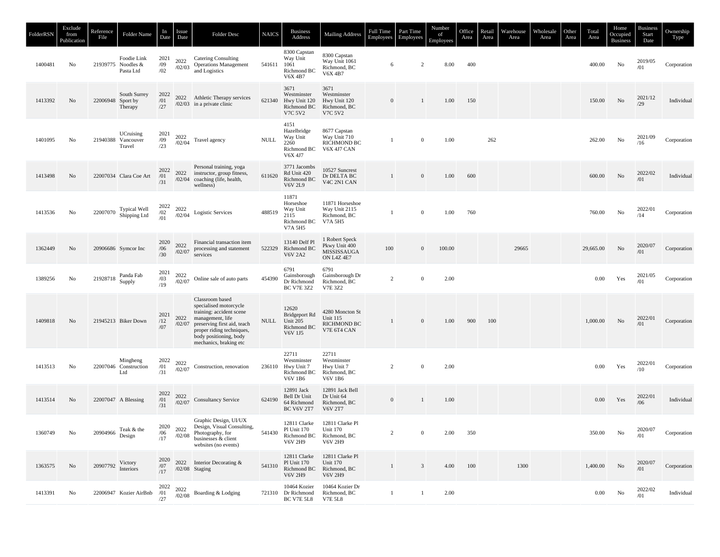| FolderRSN | Exclude<br>from<br>Publication | Reference<br>File | Folder Name                                    | In<br>Date         | Issue<br>Date  | <b>Folder Desc</b>                                                                                                                                                                                        | <b>NAICS</b> | <b>Business</b><br>Address                                           | <b>Mailing Address</b>                                                                 | Full Time<br>Employees | Part Time<br>Employees | Number<br>of<br>Employees | Office<br>Area | Retail<br>Area | Warehouse<br>Area | Wholesale<br>Area | Other<br>Area | Total<br>Area | Home<br>Occupied<br><b>Business</b> | <b>Business</b><br>Start<br>Date | Ownership<br>Type |
|-----------|--------------------------------|-------------------|------------------------------------------------|--------------------|----------------|-----------------------------------------------------------------------------------------------------------------------------------------------------------------------------------------------------------|--------------|----------------------------------------------------------------------|----------------------------------------------------------------------------------------|------------------------|------------------------|---------------------------|----------------|----------------|-------------------|-------------------|---------------|---------------|-------------------------------------|----------------------------------|-------------------|
| 1400481   | No                             |                   | Foodie Link<br>21939775 Noodles &<br>Pasta Ltd | 2021<br>/09<br>/02 | 2022<br>/02/03 | <b>Catering Consulting</b><br><b>Operations Management</b><br>and Logistics                                                                                                                               | 541611       | 8300 Capstan<br>Way Unit<br>1061<br>Richmond BC<br><b>V6X 4B7</b>    | 8300 Capstan<br>Way Unit 1061<br>Richmond, BC<br><b>V6X 4B7</b>                        | 6                      | $\overline{2}$         | 8.00                      | 400            |                |                   |                   |               | 400.00        | No                                  | 2019/05<br>/01                   | Corporation       |
| 1413392   | No                             | 22006948 Sport by | South Surrey<br>Therapy                        | 2022<br>/01<br>/27 | 2022           | Athletic Therapy services<br>$/02/03$ in a private clinic                                                                                                                                                 | 621340       | 3671<br>Westminster<br>Hwy Unit 120<br>Richmond BC<br><b>V7C 5V2</b> | 3671<br>Westminster<br>Hwy Unit 120<br>Richmond, BC<br><b>V7C 5V2</b>                  | $\mathbf{0}$           | $\mathbf{1}$           | 1.00                      | 150            |                |                   |                   |               | 150.00        | No                                  | 2021/12<br>/29                   | Individual        |
| 1401095   | No                             |                   | UCruising<br>21940388 Vancouver<br>Travel      | 2021<br>/09<br>/23 | 2022<br>/02/04 | Travel agency                                                                                                                                                                                             | <b>NULL</b>  | 4151<br>Hazelbridge<br>Way Unit<br>2260<br>Richmond BC<br>V6X 4J7    | 8677 Capstan<br>Way Unit 710<br><b>RICHMOND BC</b><br>V6X 4J7 CAN                      | 1                      | $\bf{0}$               | 1.00                      |                | 262            |                   |                   |               | 262.00        | No                                  | 2021/09<br>/16                   | Corporation       |
| 1413498   | No                             |                   | 22007034 Clara Coe Art                         | 2022<br>/01<br>/31 | 2022           | Personal training, yoga<br>instructor, group fitness,<br>/02/04 coaching (life, health,<br>wellness)                                                                                                      | 611620       | 3771 Jacombs<br>Rd Unit 420<br>Richmond BC<br><b>V6V 2L9</b>         | 10527 Suncrest<br>Dr DELTA BC<br>V4C 2N1 CAN                                           | $\mathbf{1}$           | $\mathbf{0}$           | 1.00                      | 600            |                |                   |                   |               | 600.00        | No                                  | 2022/02<br>/01                   | Individual        |
| 1413536   | No                             | 22007070          | Typical Well<br>Shipping Ltd                   | 2022<br>/02<br>/01 | 2022<br>/02/04 | Logistic Services                                                                                                                                                                                         | 488519       | 11871<br>Horseshoe<br>Way Unit<br>2115<br>Richmond BC<br>V7A 5H5     | 11871 Horseshoe<br>Way Unit 2115<br>Richmond, BC<br>V7A 5H5                            |                        | $\bf{0}$               | 1.00                      | 760            |                |                   |                   |               | 760.00        | No                                  | 2022/01<br>/14                   | Corporation       |
| 1362449   | No                             |                   | 20906686 Symcor Inc                            | 2020<br>/06<br>/30 | 2022<br>/02/07 | Financial transaction item<br>processing and statement<br>services                                                                                                                                        | 522329       | 13140 Delf Pl<br>Richmond BC<br><b>V6V 2A2</b>                       | 1 Robert Speck<br>Pkwy Unit 400<br>MISSISSAUGA<br><b>ON L4Z 4E7</b>                    | 100                    | $\mathbf{0}$           | 100.00                    |                |                | 29665             |                   |               | 29,665.00     | No                                  | 2020/07<br>/01                   | Corporation       |
| 1389256   | No                             | 21928718          | Panda Fab<br>Supply                            | 2021<br>/03<br>/19 | 2022<br>/02/07 | Online sale of auto parts                                                                                                                                                                                 | 454390       | 6791<br>Gainsborough<br>Dr Richmond<br><b>BC V7E 3Z2</b>             | 6791<br>Gainsborough Dr<br>Richmond, BC<br>V7E 3Z2                                     | $\overline{c}$         | $\mathbf{0}$           | 2.00                      |                |                |                   |                   |               | 0.00          | Yes                                 | 2021/05<br>/01                   | Corporation       |
| 1409818   | No                             |                   | 21945213 Biker Down                            | 2021<br>/12<br>/07 | 2022<br>/02/07 | Classroom based<br>specialised motorcycle<br>training: accident scene<br>management, life<br>preserving first aid, teach<br>proper riding techniques,<br>body positioning, body<br>mechanics, braking etc | <b>NULL</b>  | 12620<br>Bridgeport Rd<br>Unit 205<br>Richmond BC<br>V6V 1J5         | 4280 Moncton St<br><b>Unit 115</b><br>RICHMOND BC<br>V7E 6T4 CAN                       | 1                      | $\boldsymbol{0}$       | 1.00                      | 900            | 100            |                   |                   |               | 1,000.00      | No                                  | 2022/01<br>/01                   | Corporation       |
| 1413513   | No                             |                   | Mingheng<br>22007046 Construction<br>Ltd       | 2022<br>/01<br>/31 | 2022<br>/02/07 | Construction, renovation                                                                                                                                                                                  | 236110       | 22711<br>Westminster<br>Hwy Unit 7<br>Richmond BC<br><b>V6V1B6</b>   | 22711<br>Westminster<br>Hwy Unit 7<br>Richmond, BC<br><b>V6V1B6</b>                    | $\overline{c}$         | $\mathbf{0}$           | 2.00                      |                |                |                   |                   |               | 0.00          | Yes                                 | 2022/01<br>/10                   | Corporation       |
| 1413514   | No                             |                   | 22007047 A Blessing                            | 2022<br>/01<br>/31 | 2022<br>/02/07 | <b>Consultancy Service</b>                                                                                                                                                                                | 624190       | 12891 Jack<br>Bell Dr Unit<br>64 Richmond<br><b>BC V6V 2T7</b>       | 12891 Jack Bell<br>Dr Unit 64<br>Richmond, BC<br><b>V6V 2T7</b>                        | $\mathbf{0}$           | $\mathbf{1}$           | 1.00                      |                |                |                   |                   |               | $0.00\,$      | Yes                                 | 2022/01<br>/06                   | Individual        |
| 1360749   | No                             | 20904966 pesign   | Teak & the                                     | /06<br>/17         | /02/08         | Graphic Design, UI/UX<br>$2020$ 2022 Design, Visual Consulting,<br>Photography, for<br>businesses & client<br>websites (no events)                                                                        | 541430       | Pl Unit 170 Unit 170<br><b>V6V 2H9</b>                               | 12811 Clarke 12811 Clarke Pl<br>Richmond BC Richmond, BC<br>V6V 2H9                    | $\overline{c}$         | $\bf{0}$               | 2.00                      | 350            |                |                   |                   |               | 350.00        | No                                  | 2020/07<br>/01                   | Corporation       |
| 1363575   | No                             | 20907792          | Victory<br>Interiors                           | 2020<br>/07<br>/17 |                | 2022 Interior Decorating &<br>/02/08 Staging                                                                                                                                                              | 541310       | Pl Unit 170<br><b>V6V 2H9</b>                                        | 12811 Clarke 12811 Clarke Pl<br>Unit 170<br>Richmond BC Richmond, BC<br><b>V6V 2H9</b> | $\mathbf{1}$           | $\overline{3}$         | 4.00                      | 100            |                | 1300              |                   |               | 1,400.00      | No                                  | 2020/07<br>/01                   | Corporation       |
| 1413391   | No                             |                   | 22006947 Kozier AirBnb                         | 2022<br>/01<br>/27 |                | $\substack{2022 \\ / 02 / 08}$ Boarding & Lodging                                                                                                                                                         |              | 10464 Kozier<br>721310 Dr Richmond<br>BC V7E 5L8                     | 10464 Kozier Dr<br>Richmond, BC<br><b>V7E 5L8</b>                                      | $\mathbf{1}$           | $\mathbf{1}$           | 2.00                      |                |                |                   |                   |               | $0.00\,$      | No                                  | 2022/02<br>/01                   | Individual        |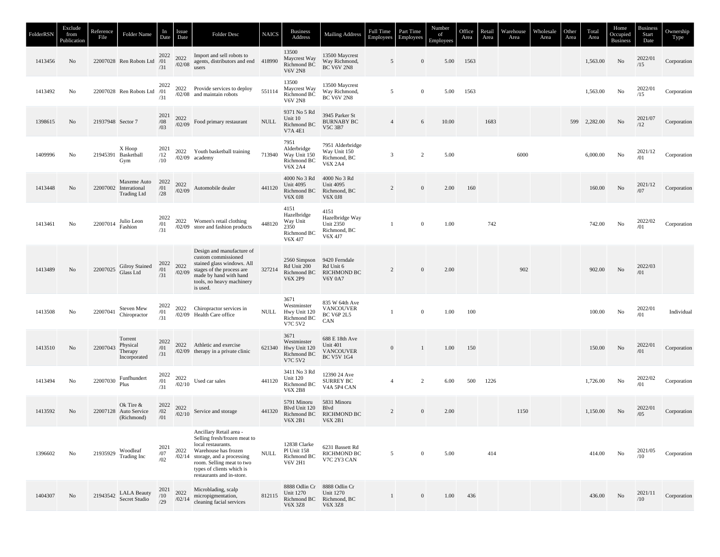| FolderRSN | Exclude<br>from<br>Publication | Reference<br>File | Folder Name                                                | In<br>Date         | Issue<br>Date  | Folder Desc                                                                                                                                                                                                                        | <b>NAICS</b> | <b>Business</b><br>Address                                           | <b>Mailing Address</b>                                                     | <b>Full Time</b><br>Employees | Part Time<br>Employees | Number<br>of<br>Employees | Office<br>Area | Retail<br>Area | Warehouse<br>Area | Wholesale<br>Area | Other<br>Area | Total<br>Area | Home<br>Occupied<br><b>Business</b> | <b>Business</b><br>Start<br>Date | Ownership<br>Type |
|-----------|--------------------------------|-------------------|------------------------------------------------------------|--------------------|----------------|------------------------------------------------------------------------------------------------------------------------------------------------------------------------------------------------------------------------------------|--------------|----------------------------------------------------------------------|----------------------------------------------------------------------------|-------------------------------|------------------------|---------------------------|----------------|----------------|-------------------|-------------------|---------------|---------------|-------------------------------------|----------------------------------|-------------------|
| 1413456   | No                             |                   | 22007028 Ren Robots Ltd /01                                | 2022<br>/31        | 2022           | Import and sell robots to<br>$\frac{2022}{102/08}$ agents, distributors and end 418990<br>users                                                                                                                                    |              | 13500<br>Maycrest Way<br>Richmond BC<br><b>V6V 2N8</b>               | 13500 Maycrest<br>Way Richmond,<br><b>BC V6V 2N8</b>                       | 5                             | $\mathbf{0}$           | 5.00                      | 1563           |                |                   |                   |               | 1,563.00      | No                                  | 2022/01<br>/15                   | Corporation       |
| 1413492   | No                             |                   | 22007028 Ren Robots Ltd                                    | 2022<br>/01<br>/31 |                | 2022 Provide services to deploy<br>/02/08 and maintain robots                                                                                                                                                                      | 551114       | 13500<br>Maycrest Way<br>Richmond BC<br><b>V6V 2N8</b>               | 13500 Maycrest<br>Way Richmond,<br><b>BC V6V 2N8</b>                       | 5                             | $\mathbf{0}$           | 5.00                      | 1563           |                |                   |                   |               | 1,563.00      | No                                  | 2022/01<br>/15                   | Corporation       |
| 1398615   | No                             | 21937948 Sector 7 |                                                            | 2021<br>/08<br>/03 | 2022<br>/02/09 | Food primary restaurant                                                                                                                                                                                                            | <b>NULL</b>  | 9371 No 5 Rd<br>Unit 10<br>Richmond BC<br><b>V7A 4E1</b>             | 3945 Parker St<br><b>BURNABY BC</b><br><b>V5C 3B7</b>                      | $\overline{4}$                | 6                      | 10.00                     |                | 1683           |                   |                   | 599           | 2,282.00      | No                                  | 2021/07<br>/12                   | Corporation       |
| 1409996   | No                             |                   | X Hoop<br>21945391 Basketball<br>Gym                       | 2021<br>/12<br>/10 |                | 2022 Youth basketball training<br>$/02/09$ academy                                                                                                                                                                                 | 713940       | 7951<br>Alderbridge<br>Way Unit 150<br>Richmond BC<br><b>V6X 2A4</b> | 7951 Alderbridge<br>Way Unit 150<br>Richmond, BC<br><b>V6X 2A4</b>         | 3                             | $\overline{c}$         | 5.00                      |                |                | 6000              |                   |               | 6,000.00      | No                                  | 2021/12<br>/01                   | Corporation       |
| 1413448   | No                             |                   | Maxeme Auto<br>22007002 Interational<br><b>Trading Ltd</b> | 2022<br>/01<br>/28 | 2022<br>/02/09 | Automobile dealer                                                                                                                                                                                                                  | 441120       | 4000 No 3 Rd<br><b>Unit 4095</b><br>Richmond BC<br><b>V6X 0J8</b>    | 4000 No 3 Rd<br><b>Unit 4095</b><br>Richmond, BC<br><b>V6X 0J8</b>         | 2                             | $\mathbf{0}$           | 2.00                      | 160            |                |                   |                   |               | 160.00        | No                                  | 2021/12<br>/07                   | Corporation       |
| 1413461   | No                             | 22007014          | Julio Leon<br>Fashion                                      | 2022<br>/01<br>/31 | 2022           | Women's retail clothing<br>/02/09 store and fashion products                                                                                                                                                                       | 448120       | 4151<br>Hazelbridge<br>Way Unit<br>2350<br>Richmond BC<br>V6X 4J7    | 4151<br>Hazelbridge Way<br>Unit 2350<br>Richmond, BC<br>V6X 4J7            | -1                            | $\mathbf{0}$           | 1.00                      |                | 742            |                   |                   |               | 742.00        | No                                  | 2022/02<br>/01                   | Corporation       |
| 1413489   | No                             | 22007025          | Gilroy Stained<br>Glass Ltd                                | 2022<br>/01<br>/31 | 2022<br>/02/09 | Design and manufacture of<br>custom commissioned<br>stained glass windows. All<br>stages of the process are<br>made by hand with hand<br>tools, no heavy machinery<br>is used.                                                     | 327214       | 2560 Simpson<br>Rd Unit 200<br>Richmond BC<br><b>V6X 2P9</b>         | 9420 Ferndale<br>Rd Unit 6<br><b>RICHMOND BC</b><br><b>V6Y 0A7</b>         | $\overline{2}$                | $\mathbf{0}$           | 2.00                      |                |                | 902               |                   |               | 902.00        | No                                  | 2022/03<br>/01                   |                   |
| 1413508   | No                             | 22007041          | Steven Mew<br>Chiropractor                                 | 2022<br>/01<br>/31 | 2022           | Chiropractor services in<br>/02/09 Health Care office                                                                                                                                                                              | <b>NULL</b>  | 3671<br>Westminster<br>Hwy Unit 120<br>Richmond BC<br><b>V7C 5V2</b> | 835 W 64th Ave<br><b>VANCOUVER</b><br>BC V6P 2L5<br>CAN                    | -1                            | $\boldsymbol{0}$       | 1.00                      | 100            |                |                   |                   |               | 100.00        | No                                  | 2022/01<br>/01                   | Individual        |
| 1413510   | No                             | 22007043          | Torrent<br>Physical<br>Therapy<br>Incorporated             | 2022<br>/01<br>/31 |                | 2022 Athletic and exercise<br>/02/09 therapy in a private clinic                                                                                                                                                                   | 621340       | 3671<br>Westminster<br>Hwy Unit 120<br>Richmond BC<br>V7C 5V2        | 688 E 18th Ave<br>Unit 401<br><b>VANCOUVER</b><br><b>BC V5V 1G4</b>        | $\mathbf{0}$                  |                        | 1.00                      | 150            |                |                   |                   |               | 150.00        | No                                  | 2022/01<br>/01                   | Corporation       |
| 1413494   | No                             | 22007030          | Funfhundert<br>Plus                                        | 2022<br>/01<br>/31 | 2022<br>/02/10 | Used car sales                                                                                                                                                                                                                     | 441120       | 3411 No 3 Rd<br>Unit 120<br>Richmond BC<br><b>V6X 2B8</b>            | 12390 24 Ave<br><b>SURREY BC</b><br>V4A 5P4 CAN                            | $\overline{4}$                | 2                      | 6.00                      | 500            | 1226           |                   |                   |               | 1,726.00      | No                                  | 2022/02<br>/01                   | Corporation       |
| 1413592   | No                             |                   | Ok Tire &<br>22007128 Auto Service<br>(Richmond)           | 2022<br>/02<br>/01 | 2022<br>/02/10 | Service and storage                                                                                                                                                                                                                | 441320       | 5791 Minoru<br>Blvd Unit 120<br>Richmond BC<br><b>V6X 2B1</b>        | 5831 Minoru<br>Blvd<br><b>RICHMOND BC</b><br><b>V6X 2B1</b>                | $\overline{c}$                | $\mathbf{0}$           | 2.00                      |                |                | 1150              |                   |               | 1,150.00      | No                                  | 2022/01<br>/05                   | Corporation       |
| 1396602   | No                             | 21935929          | Woodleaf<br>Trading Inc                                    | 2021<br>/07<br>/02 | 2022           | Ancillary Retail area -<br>Selling fresh/frozen meat to<br>local restaurants.<br>Warehouse has frozen<br>$/02/14$ storage, and a processing<br>room. Selling meat to two<br>types of clients which is<br>restaurants and in-store. | <b>NULL</b>  | 12838 Clarke<br>Pl Unit 158<br>Richmond BC<br><b>V6V 2H1</b>         | 6231 Bassett Rd<br><b>RICHMOND BC</b><br>V7C 2Y3 CAN                       | 5                             | $\mathbf{0}$           | 5.00                      |                | 414            |                   |                   |               | 414.00        | No                                  | 2021/05<br>/10                   | Corporation       |
| 1404307   | No                             |                   | 21943542 LALA Beauty<br>Secret Studio                      | 2021<br>/10<br>/29 | 2022<br>/02/14 | Microblading, scalp<br>micropigmentation,<br>cleaning facial services                                                                                                                                                              | 812115       | <b>Unit 1270</b><br>Richmond BC<br><b>V6X 3Z8</b>                    | 8888 Odlin Cr 8888 Odlin Cr<br>Unit 1270<br>Richmond, BC<br><b>V6X 3Z8</b> | 1                             | $\mathbf{0}$           | 1.00                      | 436            |                |                   |                   |               | 436.00        | No                                  | 2021/11<br>/10                   | Corporation       |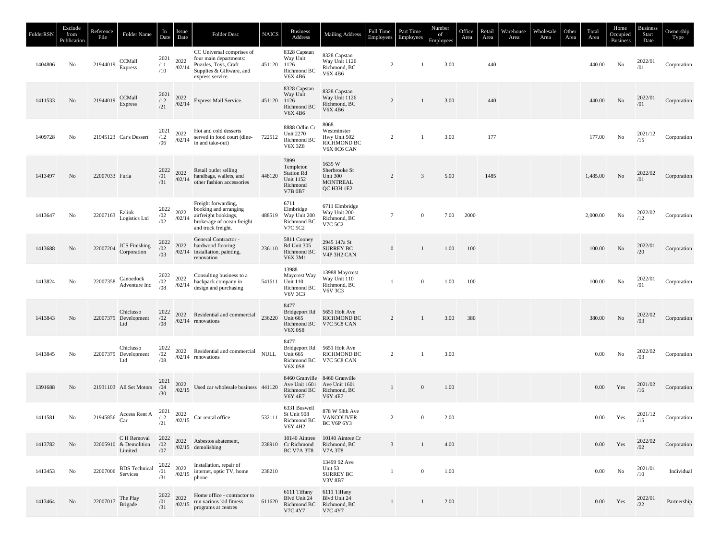| FolderRSN | Exclude<br>from<br>Publication | Reference<br>File                                                         | Folder Name                                     | In<br>Date         | Issue<br>Date  | Folder Desc                                                                                                                 | <b>NAICS</b> | <b>Business</b><br>Address                                                               | <b>Mailing Address</b>                                                       | Full Time<br>Employees | Part Time<br>Employees | Number<br>of<br>Employees | Office<br>Area | Retail<br>Area | Warehouse<br>Area | Wholesale<br>Area | Other<br>Area | Total<br>Area | Home<br>Occupied<br><b>Business</b> | <b>Business</b><br>Start<br>Date | Ownership<br>Type |
|-----------|--------------------------------|---------------------------------------------------------------------------|-------------------------------------------------|--------------------|----------------|-----------------------------------------------------------------------------------------------------------------------------|--------------|------------------------------------------------------------------------------------------|------------------------------------------------------------------------------|------------------------|------------------------|---------------------------|----------------|----------------|-------------------|-------------------|---------------|---------------|-------------------------------------|----------------------------------|-------------------|
| 1404806   | No                             | 21944019                                                                  | CCMall<br><b>Express</b>                        | 2021<br>/11<br>/10 | 2022<br>/02/14 | CC Universal comprises of<br>four main departments:<br>Puzzles, Toys, Craft<br>Supplies & Giftware, and<br>express service. | 451120       | 8328 Capstan<br>Way Unit<br>1126<br>Richmond BC<br><b>V6X 4B6</b>                        | 8328 Capstan<br>Way Unit 1126<br>Richmond, BC<br>V6X 4B6                     | 2                      | -1                     | 3.00                      |                | 440            |                   |                   |               | 440.00        | No                                  | 2022/01<br>/01                   | Corporation       |
| 1411533   | No                             | 21944019 CCMall                                                           | <b>Express</b>                                  | 2021<br>/12<br>/21 | 2022<br>/02/14 | Express Mail Service.                                                                                                       | 451120       | 8328 Capstan<br>Way Unit<br>1126<br>Richmond BC<br><b>V6X 4B6</b>                        | 8328 Capstan<br>Way Unit 1126<br>Richmond, BC<br><b>V6X 4B6</b>              | 2                      | $\mathbf{1}$           | 3.00                      |                | 440            |                   |                   |               | 440.00        | No                                  | 2022/01<br>/01                   | Corporation       |
| 1409728   | No                             |                                                                           | 21945123 Car's Dessert                          | 2021<br>/12<br>/06 | 2022           | Hot and cold desserts<br>$\frac{2022}{102/14}$ served in food court (dine-<br>722512<br>in and take-out)                    |              | 8888 Odlin Cr<br><b>Unit 2270</b><br>Richmond BC<br><b>V6X 3Z8</b>                       | 8068<br>Westminster<br>Hwy Unit 502<br><b>RICHMOND BC</b><br>V6X 0C6 CAN     | 2                      | $\mathbf{1}$           | 3.00                      |                | 177            |                   |                   |               | 177.00        | No                                  | 2021/12<br>/15                   | Corporation       |
| 1413497   | No                             | 22007033 Furla                                                            |                                                 | 2022<br>/01<br>/31 |                | 2022 Retail outlet scheme<br>$/02/14$ handbags, wallets, and<br>$/02/14$ other fashion accessories                          | 448120       | 7899<br>Templeton<br><b>Station Rd</b><br><b>Unit 1152</b><br>Richmond<br><b>V7B 0B7</b> | 1635 W<br>Sherbrooke St<br>Unit 300<br>MONTREAL<br>QC H3H 1E2                | 2                      | $\overline{3}$         | 5.00                      |                | 1485           |                   |                   |               | 1,485.00      | No                                  | 2022/02<br>/01                   | Corporation       |
| 1413647   | No                             | 22007163 Ezlink                                                           | Logistics Ltd                                   | 2022<br>/02<br>/02 | 2022<br>/02/14 | Freight forwarding,<br>booking and arranging<br>airfreight bookings,<br>brokerage of ocean freight<br>and truck freight.    | 488519       | 6711<br>Elmbridge<br>Way Unit 200<br>Richmond BC<br>V7C 5C2                              | 6711 Elmbridge<br>Way Unit 200<br>Richmond, BC<br>V7C 5C2                    | 7                      | $\mathbf{0}$           | 7.00                      | 2000           |                |                   |                   |               | 2,000.00      | No                                  | 2022/02<br>/12                   | Corporation       |
| 1413688   | No                             |                                                                           | 22007204 JCS Finishing<br>Corporation           | 2022<br>/02<br>/03 | 2022           | General Contractor -<br>hardwood flooring<br>/02/14 installation, painting,<br>renovation                                   | 236110       | 5811 Cooney<br>Rd Unit 305<br>Richmond BC<br>V6X 3M1                                     | 2945 147a St<br><b>SURREY BC</b><br>V <sub>4</sub> P <sub>3H2</sub> CAN      | $\mathbf{0}$           | $\mathbf{1}$           | 1.00                      | 100            |                |                   |                   |               | 100.00        | No                                  | 2022/01<br>/20                   | Corporation       |
| 1413824   | No                             |                                                                           | 22007358 Canoedock<br>Adventure Inc             | 2022<br>/02<br>/08 | 2022<br>/02/14 | Consulting business to a<br>backpack company in<br>design and purchasing                                                    | 541611       | 13988<br>Maycrest Way<br><b>Unit 110</b><br>Richmond BC<br><b>V6V 3C3</b>                | 13988 Maycrest<br>Way Unit 110<br>Richmond, BC<br><b>V6V 3C3</b>             |                        | $\mathbf{0}$           | 1.00                      | 100            |                |                   |                   |               | 100.00        | No                                  | 2022/01<br>/01                   | Corporation       |
| 1413843   | No                             |                                                                           | Chiclusso<br>22007375 Development<br>Ltd        | 2022<br>/02<br>/08 |                | 2022 Residential and commercial<br>$/02/14$ renovations                                                                     | 236220       | 8477<br>Unit 665<br><b>V6X 0S8</b>                                                       | Bridgeport Rd 5651 Holt Ave<br>RICHMOND BC<br>Richmond BC V7C 5C8 CAN        | 2                      |                        | 3.00                      | 380            |                |                   |                   |               | 380.00        | No                                  | 2022/02<br>/03                   | Corporation       |
| 1413845   | No                             |                                                                           | Chiclusso<br>22007375 Development<br>Ltd        | 2022<br>/02<br>/08 |                | 2022 Residential and commercial<br>$/02/14$ renovations                                                                     | <b>NULL</b>  | 8477<br>Unit 665<br><b>V6X 0S8</b>                                                       | Bridgeport Rd 5651 Holt Ave<br><b>RICHMOND BC</b><br>Richmond BC V7C 5C8 CAN | 2                      | $\mathbf{1}$           | 3.00                      |                |                |                   |                   |               | 0.00          | No                                  | 2022/02<br>/03                   | Corporation       |
| 1391688   | No                             |                                                                           | 21931103 All Set Motors /04                     | 2021<br>/30        |                | $\frac{2022}{102/15}$ Used car wholesale business 441120                                                                    |              | Ave Unit 1601 Ave Unit 1601<br><b>V6Y 4E7</b>                                            | 8460 Granville 8460 Granville<br>Richmond BC Richmond, BC<br><b>V6Y 4E7</b>  | $\mathbf{1}$           | $\mathbf{0}$           | 1.00                      |                |                |                   |                   |               | 0.00          | Yes                                 | 2021/02<br>/16                   | Corporation       |
| 1411581   | No                             | 21945856                                                                  | Access Rent A $^{2021}_{/12}$<br>Car            | /21                |                | $\frac{2022}{102/15}$ Car rental office                                                                                     | 532111       | 6331 Buswell<br>St Unit 908<br>Richmond BC<br>V6Y 4H2                                    | 878 W 58th Ave<br><b>VANCOUVER</b><br>BC V6P 6Y3                             | 2                      | $\mathbf{0}$           | 2.00                      |                |                |                   |                   |               | 0.00          | Yes                                 | 2021/12<br>/15                   | Corporation       |
| 1413782   | No                             |                                                                           | C H Removal<br>22005910 & Demolition<br>Limited | 2022<br>/02<br>/07 |                | 2022 Asbestos abatement,<br>$/02/15$ demolishing                                                                            |              | 238910 Cr Richmond<br>BC V7A 3T8                                                         | 10140 Aintree 10140 Aintree Cr<br>Richmond, BC<br>V7A 3T8                    | $\overline{3}$         | $\mathbf{1}$           | 4.00                      |                |                |                   |                   |               | 0.00          | Yes                                 | 2022/02<br>/02                   | Corporation       |
| 1413453   | No                             | 22007006                                                                  | <b>BDS</b> Technical<br>Services                | 2022<br>/01<br>/31 |                | 2022 Installation, repair of<br>$/02/15$ internet, optic TV, home<br>phone                                                  | 238210       |                                                                                          | 13499 92 Ave<br>Unit 53<br>SURREY BC<br>V3V 8B7                              | $\mathbf{1}$           | $\overline{0}$         | 1.00                      |                |                |                   |                   |               | 0.00          | No                                  | 2021/01<br>/10                   | Individual        |
| 1413464   | No                             | $22007017 \begin{array}{c} \text{The Play} \\ \text{Brigade} \end{array}$ |                                                 | 2022<br>/01<br>/31 |                | 2022 Home office - contractor to<br>$\frac{2022}{102/15}$ run various kid fitness<br>programs at centres                    | 611620       | 6111 Tiffany<br>Blvd Unit 24<br>V7C 4Y7                                                  | 6111 Tiffany<br>Blvd Unit 24<br>Richmond BC Richmond, BC<br>V7C 4Y7          | $\mathbf{1}$           | $\mathbf{1}$           | 2.00                      |                |                |                   |                   |               | $0.00\,$      | Yes                                 | 2022/01<br>122                   | Partnership       |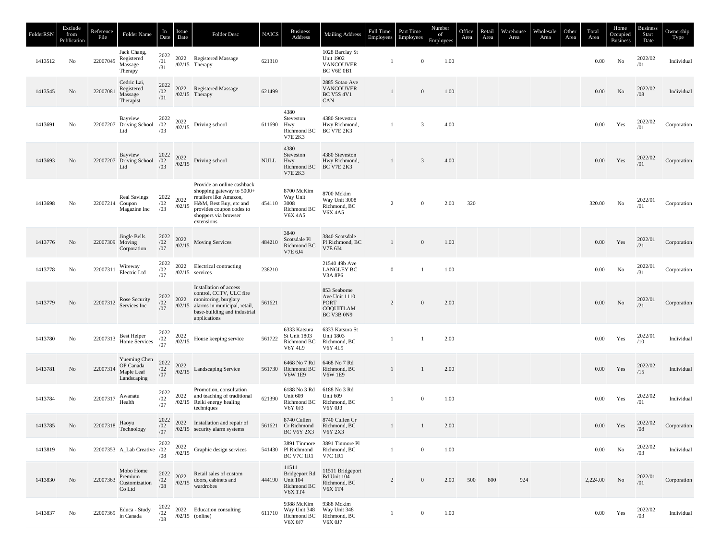| FolderRSN | Exclude<br>from<br>Publication | Reference<br>File | Folder Name                                            | In<br>Date             | Issue<br>Date    | Folder Desc                                                                                                                                                                   | <b>NAICS</b> | <b>Business</b><br>Address                                                | <b>Mailing Address</b>                                           | Full Time<br>Employees | Part Time<br>Employees | Number<br>of<br>Employees | Office<br>Area | Retail<br>Area | Warehouse<br>Area | Wholesale<br>Area | Other<br>Area | Total<br>Area | Home<br>Occupied<br><b>Business</b> | <b>Business</b><br>Start<br>Date                     | Ownership<br>Type |
|-----------|--------------------------------|-------------------|--------------------------------------------------------|------------------------|------------------|-------------------------------------------------------------------------------------------------------------------------------------------------------------------------------|--------------|---------------------------------------------------------------------------|------------------------------------------------------------------|------------------------|------------------------|---------------------------|----------------|----------------|-------------------|-------------------|---------------|---------------|-------------------------------------|------------------------------------------------------|-------------------|
| 1413512   | No                             | 22007045          | Jack Chang,<br>Registered<br>Massage<br>Therapy        | 2022<br>/01<br>/31     |                  | 2022 Registered Massage<br>$/02/15$ Therapy                                                                                                                                   | 621310       |                                                                           | 1028 Barclay St<br>Unit 1902<br><b>VANCOUVER</b><br>BC V6E 0B1   | -1                     | $\boldsymbol{0}$       | 1.00                      |                |                |                   |                   |               | 0.00          | No                                  | 2022/02<br>/01                                       | Individual        |
| 1413545   | No                             | 22007081          | Cedric Lai,<br>Registered<br>Massage<br>Therapist      | 2022<br>/02<br>/01     |                  | 2022 Registered Massage<br>$/02/15$ Therapy                                                                                                                                   | 621499       |                                                                           | 2885 Sotao Ave<br><b>VANCOUVER</b><br><b>BC V5S 4V1</b><br>CAN   | $\mathbf{1}$           | $\boldsymbol{0}$       | 1.00                      |                |                |                   |                   |               | $0.00\,$      | No                                  | 2022/02<br>/08                                       | Individual        |
| 1413691   | No                             |                   | Bayview<br>22007207 Driving School<br>Ltd              | 2022<br>/02<br>/03     | 2022<br>/02/15   | Driving school                                                                                                                                                                | 611690       | 4380<br>Steveston<br>Hwy<br>Richmond BC<br><b>V7E 2K3</b>                 | 4380 Steveston<br>Hwy Richmond,<br><b>BC V7E 2K3</b>             | -1                     | $\overline{3}$         | 4.00                      |                |                |                   |                   |               | 0.00          | Yes                                 | 2022/02<br>/01                                       | Corporation       |
| 1413693   | No                             |                   | Bayview<br>22007207 Driving School /02<br>Ltd          | 2022<br>/03            | $2022$<br>/02/15 | Driving school                                                                                                                                                                | NULL         | 4380<br>Steveston<br>Hwy<br>Richmond BC<br><b>V7E 2K3</b>                 | 4380 Steveston<br>Hwy Richmond,<br><b>BC V7E 2K3</b>             | $\mathbf{1}$           | $\overline{3}$         | 4.00                      |                |                |                   |                   |               | 0.00          | Yes                                 | $2022/02$ /01                                        | Corporation       |
| 1413698   | No                             | 22007214 Coupon   | <b>Real Savings</b><br>Magazine Inc                    | 2022<br>/02<br>/03     | 2022<br>/02/15   | Provide an online cashback<br>shopping gateway to 5000+<br>retailers like Amazon,<br>H&M, Best Buy, etc and<br>provides coupon codes to<br>shoppers via browser<br>extensions | 454110       | 8700 McKim<br>Way Unit<br>3008<br>Richmond BC<br><b>V6X 4A5</b>           | 8700 Mckim<br>Way Unit 3008<br>Richmond, BC<br>V6X 4A5           | $\overline{c}$         | $\boldsymbol{0}$       | 2.00                      | 320            |                |                   |                   |               | 320.00        | No                                  | 2022/01<br>/01                                       | Corporation       |
| 1413776   | No                             | 22007309 Moving   | Jingle Bells<br>Corporation                            | 2022<br>$/02\,$<br>/07 | 2022<br>/02/15   | Moving Services                                                                                                                                                               | 484210       | 3840<br>Scotsdale Pl<br>Richmond BC<br>V7E 6J4                            | 3840 Scotsdale<br>Pl Richmond, BC<br>V7E 6J4                     | 1                      | $\mathbf{0}$           | 1.00                      |                |                |                   |                   |               | 0.00          | Yes                                 | $\begin{array}{c} 2022/01 \\ \text{/}21 \end{array}$ | Corporation       |
| 1413778   | No                             | 22007311          | Wireway<br>Electric Ltd                                | 2022<br>/02<br>/07     | 2022             | Electrical contracting<br>$/02/15$ services                                                                                                                                   | 238210       |                                                                           | 21540 49b Ave<br><b>LANGLEY BC</b><br>V3A 8P6                    | $\mathbf{0}$           |                        | 1.00                      |                |                |                   |                   |               | 0.00          | No                                  | $\begin{array}{c} 2022/01 \\ \text{/}31 \end{array}$ | Corporation       |
| 1413779   | No                             | 22007312          | Rose Security<br>Services Inc                          | 2022<br>/02<br>/07     | 2022             | Installation of access<br>control, CCTV, ULC fire<br>monitoring, burglary<br>/02/15 alarms in municipal, retail,<br>base-building and industrial<br>applications              | 561621       |                                                                           | 853 Seaborne<br>Ave Unit 1110<br>PORT<br>COQUITLAM<br>BC V3B 0N9 | $\overline{2}$         | $\mathbf{0}$           | 2.00                      |                |                |                   |                   |               | 0.00          | No                                  | 2022/01<br>/21                                       | Corporation       |
| 1413780   | No                             | 22007313          | Best Helper<br>Home Services                           | 2022<br>$\frac{1}{07}$ | 2022<br>/02/15   | House keeping service                                                                                                                                                         | 561722       | 6333 Katsura<br>St Unit 1803<br>Richmond BC<br><b>V6Y 4L9</b>             | 6333 Katsura St<br><b>Unit 1803</b><br>Richmond, BC<br>V6Y 4L9   | -1                     |                        | 2.00                      |                |                |                   |                   |               | 0.00          | Yes                                 | 2022/01<br>/10                                       | Individual        |
| 1413781   | No                             | 22007314          | Yueming Chen<br>OP Canada<br>Maple Leaf<br>Landscaping | 2022<br>/02<br>/07     | 2022<br>/02/15   | Landscaping Service                                                                                                                                                           |              | 6468 No 7 Rd<br>561730 Richmond BC<br><b>V6W 1E9</b>                      | 6468 No 7 Rd<br>Richmond, BC<br><b>V6W 1E9</b>                   | $\mathbf{1}$           | $\overline{1}$         | 2.00                      |                |                |                   |                   |               | $0.00\,$      | Yes                                 | 2022/02<br>/15                                       | Individual        |
| 1413784   | No                             | 22007317          | Awanatu<br>Health                                      | 2022<br>/02<br>/07     | 2022             | Promotion, consultation<br>and teaching of traditional<br>/02/15 Reiki energy healing<br>techniques                                                                           | 621390       | 6188 No 3 Rd<br>Unit 609<br>Richmond BC<br>V6Y 0J3                        | 6188 No 3 Rd<br>Unit 609<br>Richmond, BC<br>V6Y 0J3              | -1                     | $\boldsymbol{0}$       | 1.00                      |                |                |                   |                   |               | 0.00          | Yes                                 | 2022/02<br>/01                                       | Individual        |
| 1413785   | No                             |                   | 22007318 $\frac{\text{flavy}}{\text{Technology}}$      | 2022<br>/02<br>/07     |                  | 2022 Installation and repair of<br>$/02/15$ security alarm systems                                                                                                            |              | 8740 Cullen<br>561621 Cr Richmond<br>BC V6Y 2X3 V6Y 2X3                   | 8740 Cullen Cr<br>Richmond, BC                                   | $\mathbf{1}$           | $\mathbf{1}$           | 2.00                      |                |                |                   |                   |               | $0.00\,$      | Yes                                 | 2022/02<br>/08                                       | Corporation       |
| 1413819   | No                             |                   | 22007353 A_Lab Creative /02                            | 2022<br>/08            | 2022             | $\frac{2022}{102/15}$ Graphic design services                                                                                                                                 |              | 541430 Pl Richmond                                                        | 3891 Tinmore 3891 Tinmore Pl<br>Richmond, BC                     | $\mathbf{1}$           | $\overline{0}$         | 1.00                      |                |                |                   |                   |               | $0.00\,$      | No                                  | 2022/02<br>/03                                       | Individual        |
| 1413830   | No                             | 22007363          | Mobo Home<br>Premium<br>Customization<br>Co Ltd        | 2022<br>/02<br>$/08\,$ | 2022<br>/02/15   | Retail sales of custom<br>doors, cabinets and<br>wardrobes                                                                                                                    | 444190       | 11511<br>Bridgeport Rd<br><b>Unit 104</b><br>Richmond BC<br><b>V6X1T4</b> | 11511 Bridgeport<br>Rd Unit 104<br>Richmond, BC<br>V6X 1T4       | $\overline{c}$         | $\mathbf{0}$           | 2.00                      | 500            | 800            | 924               |                   |               | 2,224.00      | No                                  | 2022/01<br>/01                                       | Corporation       |
| 1413837   | No                             | 22007369          | Educa - Study<br>in Canada                             | 2022<br>/02<br>/08     |                  | 2022 Education consulting<br>$/02/15$ (online)                                                                                                                                | 611710       | 9388 McKim<br>Way Unit 348<br>Richmond BC<br>V6X 0J7                      | 9388 Mckim<br>Way Unit 348<br>Richmond, BC<br>V6X 0J7            | $\mathbf{1}$           | $\mathbf{0}$           | 1.00                      |                |                |                   |                   |               | $0.00\,$      | Yes                                 | 2022/02<br>/03                                       | Individual        |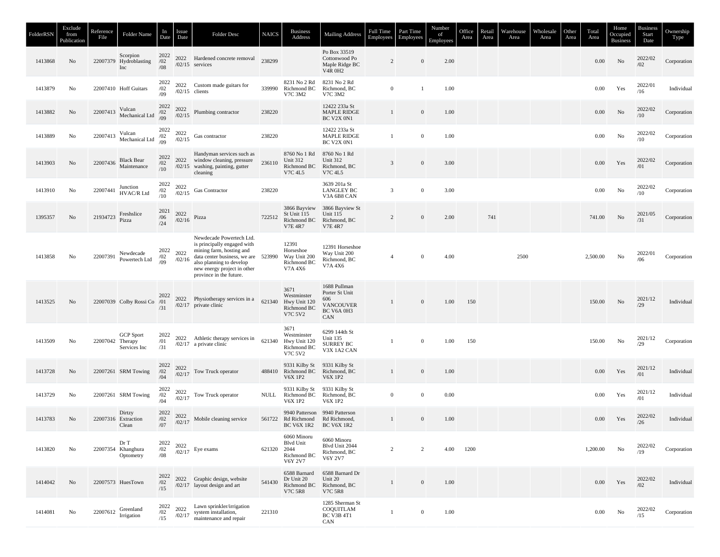| FolderRSN | Exclude<br>from<br>Publication | Reference<br>File | Folder Name                               | In<br>Date             | Issue<br>Date  | <b>Folder Desc</b>                                                                                                                                                                                               | <b>NAICS</b> | <b>Business</b><br>Address                                        | <b>Mailing Address</b>                                                         | Full Time<br>Employees | Part Time<br>Employees | Number<br>of<br>Employees | Office<br>Area | Retail<br>Area | Warehouse<br>Area | Wholesale<br>Area | Other<br>Area | Total<br>Area | Home<br>Occupied<br><b>Business</b> | Business<br>Start<br>Date | Ownership<br>Type |
|-----------|--------------------------------|-------------------|-------------------------------------------|------------------------|----------------|------------------------------------------------------------------------------------------------------------------------------------------------------------------------------------------------------------------|--------------|-------------------------------------------------------------------|--------------------------------------------------------------------------------|------------------------|------------------------|---------------------------|----------------|----------------|-------------------|-------------------|---------------|---------------|-------------------------------------|---------------------------|-------------------|
| 1413868   | No                             |                   | Scorpion<br>22007379 Hydroblasting<br>Inc | 2022<br>/02<br>/08     |                | 2022 Hardened concrete removal<br>$/02/15$ services                                                                                                                                                              | 238299       |                                                                   | Po Box 33519<br>Cottonwood Po<br>Maple Ridge BC<br><b>V4R 0H2</b>              | $\overline{2}$         | $\boldsymbol{0}$       | 2.00                      |                |                |                   |                   |               | 0.00          | No                                  | 2022/02<br>/02            | Corporation       |
| 1413879   | No                             |                   | 22007410 Hoff Guitars                     | 2022<br>/02<br>/09     |                | 2022 Custom made guitars for<br>$/02/15$ clients                                                                                                                                                                 |              | 8231 No 2 Rd<br>339990 Richmond BC<br>V7C 3M2                     | 8231 No 2 Rd<br>Richmond, BC<br>V7C 3M2                                        | $\mathbf{0}$           | -1                     | 1.00                      |                |                |                   |                   |               | 0.00          | Yes                                 | 2022/01<br>/16            | Individual        |
| 1413882   | No                             | 22007413          | Vulcan<br>Mechanical Ltd                  | 2022<br>/02<br>/09     | 2022<br>/02/15 | Plumbing contractor                                                                                                                                                                                              | 238220       |                                                                   | 12422 233a St<br><b>MAPLE RIDGE</b><br>BC V2X 0N1                              | $\mathbf{1}$           | $\mathbf{0}$           | 1.00                      |                |                |                   |                   |               | $0.00\,$      | No                                  | 2022/02<br>/10            | Corporation       |
| 1413889   | No                             | 22007413          | Vulcan<br>Mechanical Ltd                  | 2022<br>$\frac{1}{09}$ | 2022<br>/02/15 | Gas contractor                                                                                                                                                                                                   | 238220       |                                                                   | 12422 233a St<br><b>MAPLE RIDGE</b><br>BC V2X 0N1                              | -1                     | $\overline{0}$         | 1.00                      |                |                |                   |                   |               | 0.00          | No                                  | 2022/02<br>/10            | Corporation       |
| 1413903   | No                             | 22007436          | <b>Black Bear</b><br>Maintenance          | 2022<br>/02<br>$/10\,$ |                | Handyman services such as<br>2022 window cleaning, pressure<br>/02/15 washing, painting, gutter<br>cleaning                                                                                                      | 236110       | 8760 No 1 Rd<br><b>Unit 312</b><br>Richmond BC<br><b>V7C 4L5</b>  | 8760 No 1 Rd<br><b>Unit 312</b><br>Richmond, BC<br><b>V7C 4L5</b>              | $\mathbf{3}$           | $\boldsymbol{0}$       | 3.00                      |                |                |                   |                   |               | 0.00          | Yes                                 | 2022/02<br>/01            | Corporation       |
| 1413910   | No                             | 22007441          | Junction<br>HVAC/R Ltd                    | 2022<br>/02<br>/10     | 2022<br>/02/15 | Gas Contractor                                                                                                                                                                                                   | 238220       |                                                                   | 3639 201a St<br><b>LANGLEY BC</b><br>V3A 6B8 CAN                               | $\mathfrak{Z}$         | $\overline{0}$         | 3.00                      |                |                |                   |                   |               | 0.00          | $\rm No$                            | 2022/02<br>/10            | Corporation       |
| 1395357   | No                             | 21934723          | Freshslice<br>Pizza                       | 2021<br>/06<br>/24     | 2022<br>/02/16 | Pizza                                                                                                                                                                                                            | 722512       | 3866 Bayview<br>St Unit 115<br>Richmond BC<br><b>V7E 4R7</b>      | 3866 Bayview St<br><b>Unit 115</b><br>Richmond, BC<br><b>V7E 4R7</b>           | 2                      | $\boldsymbol{0}$       | 2.00                      |                | 741            |                   |                   |               | 741.00        | No                                  | 2021/05<br>/31            | Corporation       |
| 1413858   | No                             | 22007391          | Newdecade<br>Powertech Ltd                | 2022<br>/02<br>/09     | 2022<br>/02/16 | Newdecade Powertech Ltd.<br>is principally engaged with<br>mining farm, hosting and<br>data center business, we are 523990<br>also planning to develop<br>new energy project in other<br>province in the future. |              | 12391<br>Horseshoe<br>Way Unit 200<br>Richmond BC<br>V7A 4X6      | 12391 Horseshoe<br>Way Unit 200<br>Richmond, BC<br>V7A 4X6                     |                        | $\overline{0}$         | 4.00                      |                |                | 2500              |                   |               | 2,500.00      | No                                  | 2022/01<br>/06            | Corporation       |
| 1413525   | No                             |                   | 22007039 Colby Rossi Co /01               | 2022<br>/31            |                | 2022 Physiotherapy services in a<br>$/02/17$ private clinic                                                                                                                                                      | 621340       | 3671<br>Westminster<br>Hwy Unit 120<br>Richmond BC<br>V7C 5V2     | 1688 Pullman<br>Porter St Unit<br>606<br><b>VANCOUVER</b><br>BC V6A 0H3<br>CAN | 1                      | $\boldsymbol{0}$       | 1.00                      | 150            |                |                   |                   |               | 150.00        | No                                  | 2021/12<br>/29            | Individual        |
| 1413509   | No                             | 22007042 Therapy  | <b>GCP</b> Sport<br>Services Inc          | 2022<br>/01<br>/31     |                | 2022 Athletic therapy services in<br>$/02/17$ a private clinic                                                                                                                                                   | 621340       | 3671<br>Westminster<br>Hwy Unit 120<br>Richmond BC<br>V7C 5V2     | 6299 144th St<br><b>Unit 135</b><br>SURREY BC<br>V3X 1A2 CAN                   | $\overline{1}$         | $\boldsymbol{0}$       | 1.00                      | 150            |                |                   |                   |               | 150.00        | No                                  | 2021/12<br>/29            | Corporation       |
| 1413728   | No                             |                   | 22007261 SRM Towing                       | 2022<br>/02<br>/04     | 2022<br>/02/17 | Tow Truck operator                                                                                                                                                                                               |              | 9331 Kilby St<br>488410 Richmond BC<br><b>V6X 1P2</b>             | 9331 Kilby St<br>Richmond, BC<br><b>V6X 1P2</b>                                | $\mathbf{1}$           | $\mathbf{0}$           | 1.00                      |                |                |                   |                   |               | 0.00          | Yes                                 | 2021/12<br>/01            | Individual        |
| 1413729   | No                             |                   | 22007261 SRM Towing                       | 2022<br>/02<br>/04     | 2022<br>/02/17 | Tow Truck operator                                                                                                                                                                                               | NULL         | 9331 Kilby St<br>Richmond BC<br><b>V6X 1P2</b>                    | 9331 Kilby St<br>Richmond, BC<br><b>V6X 1P2</b>                                | $\mathbf{0}$           | $\mathbf{0}$           | 0.00                      |                |                |                   |                   |               | 0.00          | Yes                                 | 2021/12<br>/01            | Individual        |
| 1413783   | No                             |                   | Dirtzy<br>22007316 Extraction<br>Clean    | 2022<br>/02<br>/07     | 2022<br>/02/17 | Mobile cleaning service                                                                                                                                                                                          |              | 561722 Rd Richmond<br>BC V6X 1R2                                  | 9940 Patterson 9940 Patterson<br>Rd Richmond,<br><b>BC V6X 1R2</b>             | $\mathbf{1}$           | $\mathbf{0}$           | 1.00                      |                |                |                   |                   |               | 0.00          | Yes                                 | 2022/02<br>/26            | Individual        |
| 1413820   | No                             |                   | Dr T<br>22007354 Khanghura<br>Optometry   | 2022<br>/02<br>/08     | 2022<br>/02/17 | Eye exams                                                                                                                                                                                                        | 621320       | 6060 Minoru<br><b>Blvd Unit</b><br>2044<br>Richmond BC<br>V6Y 2V7 | 6060 Minoru<br>Blvd Unit 2044<br>Richmond, BC<br>V6Y 2V7                       | $\overline{2}$         | 2                      | 4.00                      | 1200           |                |                   |                   |               | 1,200.00      | No                                  | 2022/02<br>/19            | Corporation       |
| 1414042   | No                             |                   | 22007573 HuesTown                         | 2022<br>/02<br>/15     |                | 2022 Graphic design, website<br>/02/17 layout design and art                                                                                                                                                     | 541430       | 6588 Barnard<br>Dr Unit 20<br>Richmond BC<br><b>V7C 5R8</b>       | 6588 Barnard Dr<br>Unit 20<br>Richmond, BC<br><b>V7C 5R8</b>                   | $\mathbf{1}$           | $\mathbf{0}$           | 1.00                      |                |                |                   |                   |               | 0.00          | Yes                                 | 2022/02<br>/02            | Individual        |
| 1414081   | No                             |                   | 22007612 Greenland<br>Irrigation          | 2022<br>/02<br>/15     | 2022<br>/02/17 | Lawn sprinkler/irrigation<br>system installation,<br>maintenance and repair                                                                                                                                      | 221310       |                                                                   | 1285 Sherman St<br>COQUITLAM<br>BC V3B 4T1<br>CAN                              | $\mathbf{1}$           | $\overline{0}$         | 1.00                      |                |                |                   |                   |               | $0.00\,$      | No                                  | 2022/02<br>/15            | Corporation       |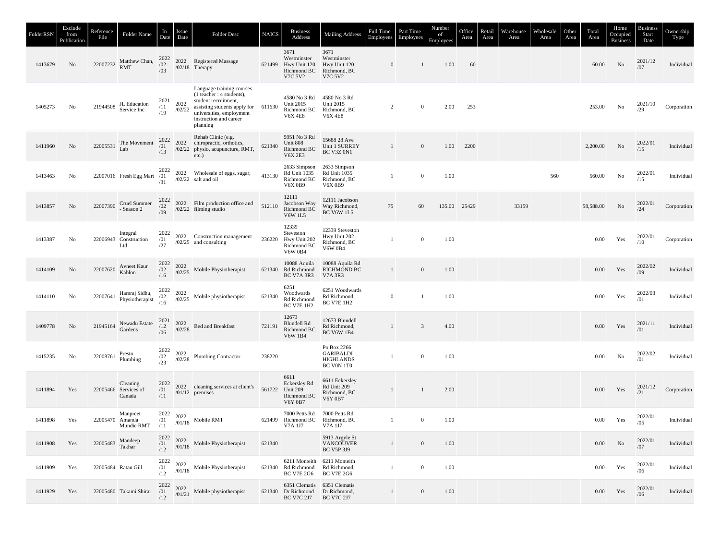| FolderRSN | Exclude<br>from<br>Publication | Reference<br>File | Folder Name                                | In<br>Date               | Issue<br>Date                                            | Folder Desc                                                                                                                                                                        | <b>NAICS</b> | <b>Business</b><br>Address                                               | <b>Mailing Address</b>                                                | Full Time<br>Employees | Part Time<br>Employees | Number<br>of<br>Employees | Office<br>Area | Retail<br>Area | Warehouse<br>Area | Wholesale<br>Area | Other<br>Area | Total<br>Area | Home<br>Occupied<br><b>Business</b> | <b>Business</b><br>Start<br>Date                     | Ownership<br>Type |
|-----------|--------------------------------|-------------------|--------------------------------------------|--------------------------|----------------------------------------------------------|------------------------------------------------------------------------------------------------------------------------------------------------------------------------------------|--------------|--------------------------------------------------------------------------|-----------------------------------------------------------------------|------------------------|------------------------|---------------------------|----------------|----------------|-------------------|-------------------|---------------|---------------|-------------------------------------|------------------------------------------------------|-------------------|
| 1413679   | No                             |                   | 22007232 Matthew Chan,<br><b>RMT</b>       | 2022<br>/02<br>/03       |                                                          | 2022 Registered Massage<br>$/02/18$ Therapy                                                                                                                                        | 621499       | 3671<br>Westminster<br>Hwy Unit 120<br>Richmond BC<br><b>V7C 5V2</b>     | 3671<br>Westminster<br>Hwy Unit 120<br>Richmond, BC<br>V7C 5V2        | $\mathbf{0}$           | 1                      | 1.00                      | 60             |                |                   |                   |               | 60.00         | No                                  | 2021/12<br>/07                                       | Individual        |
| 1405273   | No                             | 21944508          | JL Education<br>Service Inc                | 2021<br>/11<br>/19       | 2022<br>/02/22                                           | Language training courses<br>$(1$ teacher : 4 students),<br>student recruitment,<br>assisting students apply for<br>universities, employment<br>instruction and career<br>planning | 611630       | 4580 No 3 Rd<br><b>Unit 2015</b><br>Richmond BC<br><b>V6X 4E8</b>        | 4580 No 3 Rd<br>Unit 2015<br>Richmond, BC<br><b>V6X 4E8</b>           | 2                      | $\mathbf{0}$           | 2.00                      | 253            |                |                   |                   |               | 253.00        | $\rm No$                            | 2021/10<br>/29                                       | Corporation       |
| 1411960   | No                             | 22005531          | The Movement<br>Lab                        | 2022<br>/01<br>/13       |                                                          | Rehab Clinic (e.g.<br>2022 chiropractic, orthotics,<br>/02/22 physio, acupuncture, RMT,<br>etc.)                                                                                   | 621340       | 5951 No 3 Rd<br>Unit 808<br>Richmond BC<br><b>V6X 2E3</b>                | 15688 28 Ave<br>Unit 1 SURREY<br><b>BC V3Z 0N1</b>                    | $\mathbf{1}$           | $\boldsymbol{0}$       | 1.00                      | 2200           |                |                   |                   |               | 2,200.00      | No                                  | 2022/01<br>/15                                       | Individual        |
| 1413463   | No                             |                   | 22007016 Fresh Egg Mart /01                | 2022<br>/31              |                                                          | 2022 Wholesale of eggs, sugar,<br>$/02/22$ salt and oil                                                                                                                            | 413130       | 2633 Simpson<br>Rd Unit 1035<br>Richmond BC<br><b>V6X 0B9</b>            | 2633 Simpson<br><b>Rd Unit 1035</b><br>Richmond, BC<br><b>V6X 0B9</b> | 1                      | $\boldsymbol{0}$       | 1.00                      |                |                |                   | 560               |               | 560.00        | No                                  | 2022/01<br>/15                                       | Individual        |
| 1413857   | No                             | 22007390          | Cruel Summer<br>- Season 2                 | 2022<br>/02<br>/09       |                                                          | 2022 Film production office and<br>$/02/22$ filming studio                                                                                                                         | 512110       | 12111<br>Jacobson Way<br>Richmond BC<br><b>V6W 1L5</b>                   | 12111 Jacobson<br>Way Richmond,<br><b>BC V6W 1L5</b>                  | 75                     | 60                     | 135.00                    | 25429          |                | 33159             |                   |               | 58,588.00     | No                                  | 2022/01<br>/24                                       | Corporation       |
| 1413387   | No                             |                   | Integral<br>22006943 Construction<br>Ltd   | 2022<br>/01<br>/27       |                                                          | 2022 Construction management<br>$/02/25$ and consulting                                                                                                                            | 236220       | 12339<br>Steveston<br>Hwy Unit 202<br>Richmond BC<br><b>V6W 0B4</b>      | 12339 Steveston<br>Hwy Unit 202<br>Richmond, BC<br><b>V6W 0B4</b>     |                        | $\boldsymbol{0}$       | 1.00                      |                |                |                   |                   |               | 0.00          | Yes                                 | 2022/01<br>/10                                       | Corporation       |
| 1414109   | No                             | 22007620          | Avneet Kaur<br>Kahlon                      | 2022<br>$\frac{1}{16}$   |                                                          | $2022$ Mobile Physiotherapist $/02/25$                                                                                                                                             |              | 10088 Aquila<br>621340 Rd Richmond<br><b>BC V7A 3R3</b>                  | 10088 Aquila Rd<br><b>RICHMOND BC</b><br>V7A 3R3                      | 1                      | $\mathbf{0}$           | 1.00                      |                |                |                   |                   |               | 0.00          | Yes                                 | 2022/02<br>/09                                       | Individual        |
| 1414110   | No                             | 22007641          | Hamraj Sidhu,<br>Physiotherapist           | 2022<br>$\frac{1}{16}$   | 2022                                                     | $\frac{2022}{102/25}$ Mobile physiotherapist                                                                                                                                       | 621340       | 6251<br>Woodwards<br>Rd Richmond<br><b>BC V7E 1H2</b>                    | 6251 Woodwards<br>Rd Richmond,<br><b>BC V7E 1H2</b>                   | $\mathbf{0}$           | 1                      | 1.00                      |                |                |                   |                   |               | 0.00          | Yes                                 | 2022/03<br>/01                                       | Individual        |
| 1409778   | No                             | 21945164          | Newadu Estate<br>Gardens                   | 2021<br>$\frac{12}{106}$ | 2022<br>/02/28                                           | <b>Bed and Breakfast</b>                                                                                                                                                           | 721191       | 12673<br><b>Blundell Rd</b><br>Richmond BC<br><b>V6W 1B4</b>             | 12673 Blundell<br>Rd Richmond,<br><b>BC V6W 1B4</b>                   |                        | 3                      | 4.00                      |                |                |                   |                   |               | 0.00          | Yes                                 | 2021/11<br>/01                                       | Individual        |
| 1415235   | No                             | 22008761          | Presto<br>Plumbing                         | 2022<br>$\frac{1}{23}$   | 2022<br>/02/28                                           | <b>Plumbing Contractor</b>                                                                                                                                                         | 238220       |                                                                          | Po Box 2266<br><b>GARIBALDI</b><br><b>HIGHLANDS</b><br>BC V0N 1T0     | $\mathbf{1}$           | $\boldsymbol{0}$       | 1.00                      |                |                |                   |                   |               | 0.00          | No                                  | 2022/02<br>/01                                       | Individual        |
| 1411894   | Yes                            |                   | Cleaning<br>22005466 Services of<br>Canada | 2022<br>/01<br>/11       |                                                          | 2022 cleaning services at client's<br>$/01/12$ premises                                                                                                                            |              | 6611<br>Eckersley Rd<br>561722 Unit 209<br>Richmond BC<br><b>V6Y 0B7</b> | 6611 Eckersley<br>Rd Unit 209<br>Richmond, BC<br><b>V6Y 0B7</b>       | $\mathbf{1}$           | $\mathbf{1}$           | 2.00                      |                |                |                   |                   |               | 0.00          | Yes                                 | $\begin{array}{c} 2021/12 \\ \text{/}21 \end{array}$ | Corporation       |
| 1411898   | Yes                            | 22005470 Amanda   | Manpreet<br>Mundie RMT                     | 2022<br>/01<br>/11       | 2022<br>/01/18                                           | Mobile RMT                                                                                                                                                                         | 621499       | 7000 Petts Rd<br>Richmond BC<br>V7A 1J7                                  | 7000 Petts Rd<br>Richmond, BC<br>V7A 1J7                              | 1                      | $\mathbf{0}$           | 1.00                      |                |                |                   |                   |               | 0.00          | Yes                                 | 2022/01<br>/05                                       | Individual        |
| 1411908   | Yes                            | 22005483 Mandeep  | Takhar                                     | 2022<br>/01<br>/12       |                                                          | $^{2022}_{01/18}$ Mobile Physiotherapist                                                                                                                                           | 621340       |                                                                          | 5913 Argyle St<br><b>VANCOUVER</b><br><b>BC V5P 3J9</b>               | 1                      | $\boldsymbol{0}$       | 1.00                      |                |                |                   |                   |               | 0.00          | No                                  | 2022/01<br>/07                                       | Individual        |
| 1411909   | Yes                            |                   | 22005484 Ratan Gill                        | 2022<br>/01<br>/12       | $\begin{array}{c} 2022 \\ \text{\it /01/18} \end{array}$ | Mobile Physiotherapist                                                                                                                                                             |              | 621340 Rd Richmond<br><b>BC V7E 2G6</b>                                  | 6211 Monteith 6211 Monteith<br>Rd Richmond,<br><b>BC V7E 2G6</b>      | $\mathbf{1}$           | $\bf{0}$               | 1.00                      |                |                |                   |                   |               | $0.00\,$      | Yes                                 | 2022/01<br>/06                                       | Individual        |
| 1411929   | Yes                            |                   | 22005480 Takami Shirai                     | 2022<br>$/01$ /12        | 2022<br>/01/21                                           | Mobile physiotherapist                                                                                                                                                             |              | 621340 Dr Richmond Dr Richmond,<br>BC V7C 2J7                            | 6351 Clematis 6351 Clematis<br><b>BC V7C 2J7</b>                      | 1                      | $\boldsymbol{0}$       | 1.00                      |                |                |                   |                   |               | $0.00\,$      | Yes                                 | 2022/01<br>/06                                       | Individual        |